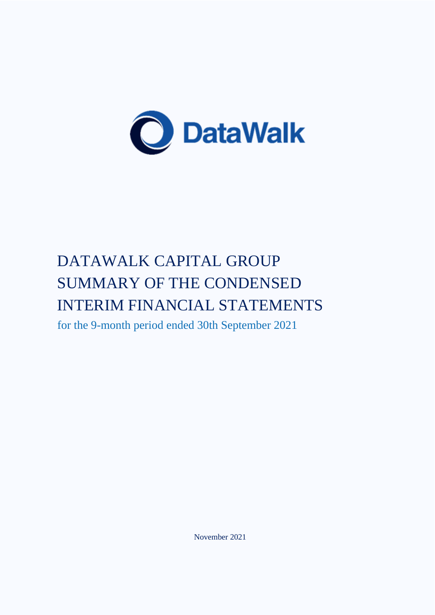

# DATAWALK CAPITAL GROUP SUMMARY OF THE CONDENSED INTERIM FINANCIAL STATEMENTS

for the 9-month period ended 30th September 2021

November 2021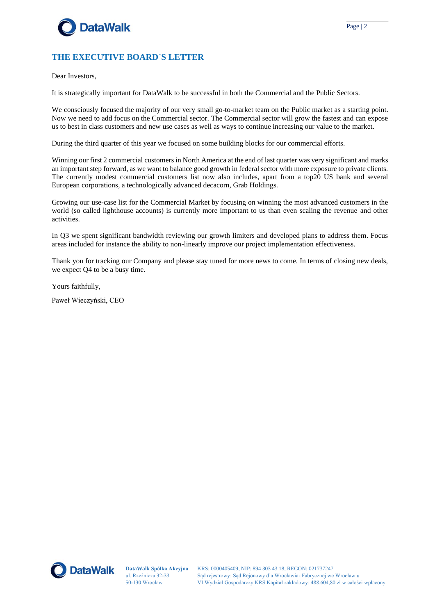

## **THE EXECUTIVE BOARD`S LETTER**

Dear Investors,

It is strategically important for DataWalk to be successful in both the Commercial and the Public Sectors.

We consciously focused the majority of our very small go-to-market team on the Public market as a starting point. Now we need to add focus on the Commercial sector. The Commercial sector will grow the fastest and can expose us to best in class customers and new use cases as well as ways to continue increasing our value to the market.

During the third quarter of this year we focused on some building blocks for our commercial efforts.

Winning our first 2 commercial customers in North America at the end of last quarter was very significant and marks an important step forward, as we want to balance good growth in federal sector with more exposure to private clients. The currently modest commercial customers list now also includes, apart from a top20 US bank and several European corporations, a technologically advanced decacorn, Grab Holdings.

Growing our use-case list for the Commercial Market by focusing on winning the most advanced customers in the world (so called lighthouse accounts) is currently more important to us than even scaling the revenue and other activities.

In Q3 we spent significant bandwidth reviewing our growth limiters and developed plans to address them. Focus areas included for instance the ability to non-linearly improve our project implementation effectiveness.

Thank you for tracking our Company and please stay tuned for more news to come. In terms of closing new deals, we expect Q4 to be a busy time.

Yours faithfully,

Paweł Wieczyński, CEO

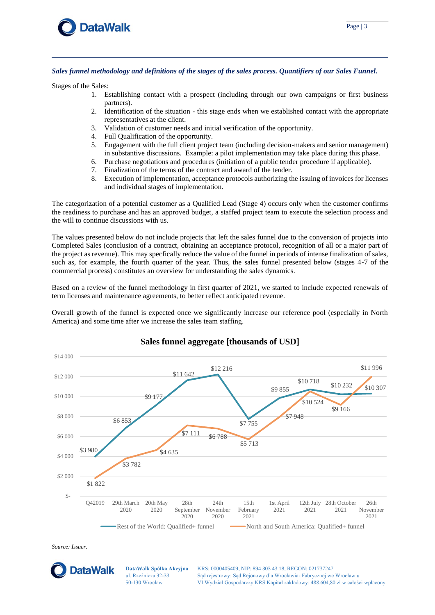

*Sales funnel methodology and definitions of the stages of the sales process. Quantifiers of our Sales Funnel.*

Stages of the Sales:

- 1. Establishing contact with a prospect (including through our own campaigns or first business partners).
- 2. Identification of the situation this stage ends when we established contact with the appropriate representatives at the client.
- 3. Validation of customer needs and initial verification of the opportunity.
- 4. Full Qualification of the opportunity.
- 5. Engagement with the full client project team (including decision-makers and senior management) in substantive discussions. Example: a pilot implementation may take place during this phase.
- 6. Purchase negotiations and procedures (initiation of a public tender procedure if applicable).
- 7. Finalization of the terms of the contract and award of the tender.
- 8. Execution of implementation, acceptance protocols authorizing the issuing of invoices for licenses and individual stages of implementation.

The categorization of a potential customer as a Qualified Lead (Stage 4) occurs only when the customer confirms the readiness to purchase and has an approved budget, a staffed project team to execute the selection process and the will to continue discussions with us.

The values presented below do not include projects that left the sales funnel due to the conversion of projects into Completed Sales (conclusion of a contract, obtaining an acceptance protocol, recognition of all or a major part of the project as revenue). This may specfically reduce the value of the funnel in periods of intense finalization of sales, such as, for example, the fourth quarter of the year. Thus, the sales funnel presented below (stages 4-7 of the commercial process) constitutes an overview for understanding the sales dynamics.

Based on a review of the funnel methodology in first quarter of 2021, we started to include expected renewals of term licenses and maintenance agreements, to better reflect anticipated revenue.

Overall growth of the funnel is expected once we significantly increase our reference pool (especially in North America) and some time after we increase the sales team staffing.



### **Sales funnel aggregate [thousands of USD]**

*Source: Issuer.*



**DataWalk Spółka Akcyjna** ul. Rzeźnicza 32-33 50-130 Wrocław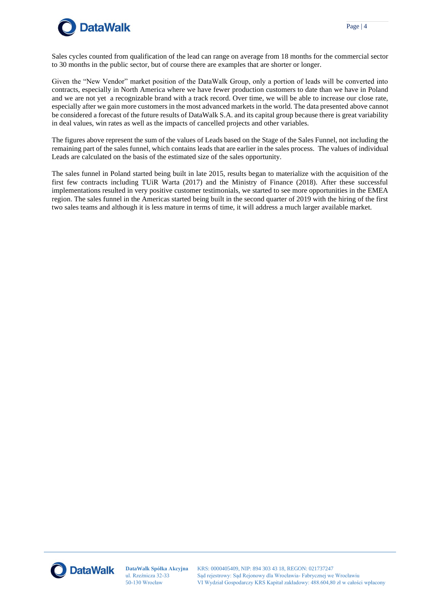

Sales cycles counted from qualification of the lead can range on average from 18 months for the commercial sector to 30 months in the public sector, but of course there are examples that are shorter or longer.

Given the "New Vendor" market position of the DataWalk Group, only a portion of leads will be converted into contracts, especially in North America where we have fewer production customers to date than we have in Poland and we are not yet a recognizable brand with a track record. Over time, we will be able to increase our close rate, especially after we gain more customers in the most advanced markets in the world. The data presented above cannot be considered a forecast of the future results of DataWalk S.A. and its capital group because there is great variability in deal values, win rates as well as the impacts of cancelled projects and other variables.

The figures above represent the sum of the values of Leads based on the Stage of the Sales Funnel, not including the remaining part of the sales funnel, which contains leads that are earlier in the sales process. The values of individual Leads are calculated on the basis of the estimated size of the sales opportunity.

The sales funnel in Poland started being built in late 2015, results began to materialize with the acquisition of the first few contracts including TUiR Warta (2017) and the Ministry of Finance (2018). After these successful implementations resulted in very positive customer testimonials, we started to see more opportunities in the EMEA region. The sales funnel in the Americas started being built in the second quarter of 2019 with the hiring of the first two sales teams and although it is less mature in terms of time, it will address a much larger available market.

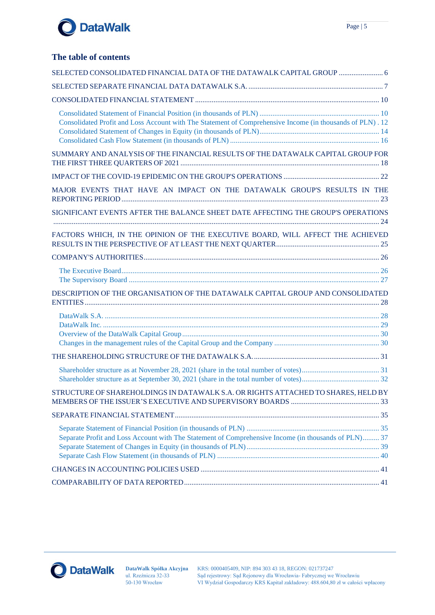

### **The table of contents**

| SELECTED CONSOLIDATED FINANCIAL DATA OF THE DATAWALK CAPITAL GROUP  6                                     |
|-----------------------------------------------------------------------------------------------------------|
|                                                                                                           |
|                                                                                                           |
| Consolidated Profit and Loss Account with The Statement of Comprehensive Income (in thousands of PLN). 12 |
| SUMMARY AND ANALYSIS OF THE FINANCIAL RESULTS OF THE DATAWALK CAPITAL GROUP FOR                           |
|                                                                                                           |
| MAJOR EVENTS THAT HAVE AN IMPACT ON THE DATAWALK GROUP'S RESULTS IN THE                                   |
| SIGNIFICANT EVENTS AFTER THE BALANCE SHEET DATE AFFECTING THE GROUP'S OPERATIONS                          |
| FACTORS WHICH, IN THE OPINION OF THE EXECUTIVE BOARD, WILL AFFECT THE ACHIEVED                            |
|                                                                                                           |
|                                                                                                           |
| DESCRIPTION OF THE ORGANISATION OF THE DATAWALK CAPITAL GROUP AND CONSOLIDATED                            |
|                                                                                                           |
|                                                                                                           |
|                                                                                                           |
| STRUCTURE OF SHAREHOLDINGS IN DATAWALK S.A. OR RIGHTS ATTACHED TO SHARES, HELD BY                         |
|                                                                                                           |
| Separate Profit and Loss Account with The Statement of Comprehensive Income (in thousands of PLN) 37      |
|                                                                                                           |
|                                                                                                           |

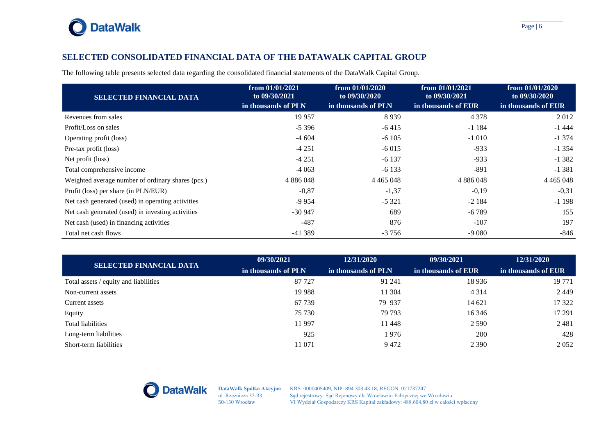

## **SELECTED CONSOLIDATED FINANCIAL DATA OF THE DATAWALK CAPITAL GROUP**

The following table presents selected data regarding the consolidated financial statements of the DataWalk Capital Group.

| <b>SELECTED FINANCIAL DATA</b>                    | from 01/01/2021<br>to 09/30/2021 | from $01/01/2020$<br>to 09/30/2020 | from $01/01/2021$<br>to 09/30/2021 | from $01/01/2020$<br>to 09/30/2020 |
|---------------------------------------------------|----------------------------------|------------------------------------|------------------------------------|------------------------------------|
|                                                   | in thousands of PLN              | in thousands of PLN                | in thousands of EUR                | in thousands of EUR                |
| Revenues from sales                               | 19 9 5 7                         | 8939                               | 4 3 7 8                            | 2012                               |
| Profit/Loss on sales                              | $-5396$                          | $-6415$                            | $-1184$                            | $-1444$                            |
| Operating profit (loss)                           | $-4604$                          | $-6105$                            | $-1010$                            | $-1374$                            |
| Pre-tax profit (loss)                             | $-4251$                          | $-6015$                            | $-933$                             | $-1354$                            |
| Net profit (loss)                                 | $-4251$                          | $-6137$                            | $-933$                             | $-1382$                            |
| Total comprehensive income                        | $-4063$                          | $-6133$                            | -891                               | $-1381$                            |
| Weighted average number of ordinary shares (pcs.) | 4 8 8 6 0 4 8                    | 4 4 6 5 0 4 8                      | 4 8 8 6 0 4 8                      | 4 4 6 5 0 4 8                      |
| Profit (loss) per share (in PLN/EUR)              | $-0,87$                          | $-1,37$                            | $-0,19$                            | $-0.31$                            |
| Net cash generated (used) in operating activities | $-9954$                          | $-5321$                            | $-2184$                            | $-1198$                            |
| Net cash generated (used) in investing activities | $-30947$                         | 689                                | $-6789$                            | 155                                |
| Net cash (used) in financing activities           | $-487$                           | 876                                | $-107$                             | 197                                |
| Total net cash flows                              | $-41389$                         | $-3756$                            | $-9080$                            | $-846$                             |

<span id="page-5-0"></span>

| <b>SELECTED FINANCIAL DATA</b>        | 09/30/2021          | 12/31/2020          | 09/30/2021          | 12/31/2020          |
|---------------------------------------|---------------------|---------------------|---------------------|---------------------|
|                                       | in thousands of PLN | in thousands of PLN | in thousands of EUR | in thousands of EUR |
| Total assets / equity and liabilities | 87 727              | 91 241              | 18 9 36             | 19 771              |
| Non-current assets                    | 19 9 88             | 11 304              | 4 3 1 4             | 2449                |
| Current assets                        | 67 739              | 79 937              | 14 621              | 17 322              |
| Equity                                | 75 730              | 79 793              | 16 34 6             | 17 29 1             |
| Total liabilities                     | 11 997              | 11 448              | 2 5 9 0             | 2481                |
| Long-term liabilities                 | 925                 | 1 976               | <b>200</b>          | 428                 |
| Short-term liabilities                | 11 071              | 9472                | 2 3 9 0             | 2052                |



ul. Rzeźnicza 32-33 50-130 Wrocław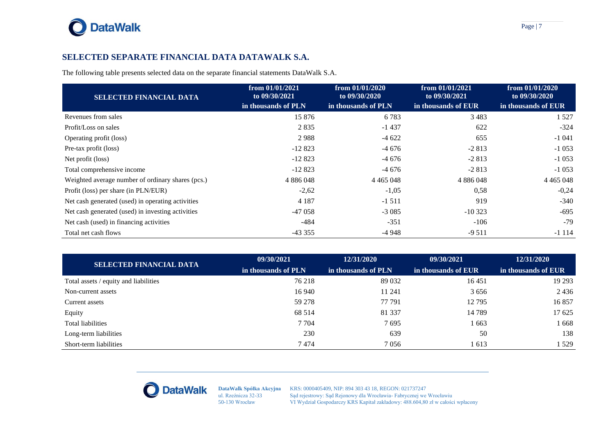

### **SELECTED SEPARATE FINANCIAL DATA DATAWALK S.A.**

The following table presents selected data on the separate financial statements DataWalk S.A.

| <b>SELECTED FINANCIAL DATA</b>                    | from 01/01/2021<br>to 09/30/2021 | from $01/01/2020$<br>to 09/30/2020 | from $01/01/2021$<br>to 09/30/2021 | from $01/01/2020$<br>to 09/30/2020 |
|---------------------------------------------------|----------------------------------|------------------------------------|------------------------------------|------------------------------------|
|                                                   | in thousands of PLN              | in thousands of PLN                | in thousands of EUR                | in thousands of EUR                |
| Revenues from sales                               | 15 876                           | 6 7 8 3                            | 3483                               | 1 5 2 7                            |
| Profit/Loss on sales                              | 2 8 3 5                          | $-1437$                            | 622                                | $-324$                             |
| Operating profit (loss)                           | 2988                             | $-4622$                            | 655                                | $-1041$                            |
| Pre-tax profit (loss)                             | $-12823$                         | $-4676$                            | $-2813$                            | $-1053$                            |
| Net profit (loss)                                 | $-12823$                         | $-4676$                            | $-2813$                            | $-1053$                            |
| Total comprehensive income                        | $-12823$                         | $-4676$                            | $-2813$                            | $-1053$                            |
| Weighted average number of ordinary shares (pcs.) | 4 8 8 6 0 4 8                    | 4 4 6 5 0 4 8                      | 4 8 8 6 0 4 8                      | 4 4 6 5 0 4 8                      |
| Profit (loss) per share (in PLN/EUR)              | $-2,62$                          | $-1,05$                            | 0,58                               | $-0,24$                            |
| Net cash generated (used) in operating activities | 4 1 8 7                          | $-1511$                            | 919                                | $-340$                             |
| Net cash generated (used) in investing activities | $-47058$                         | $-3085$                            | $-10323$                           | $-695$                             |
| Net cash (used) in financing activities           | $-484$                           | $-351$                             | $-106$                             | $-79$                              |
| Total net cash flows                              | $-43355$                         | $-4948$                            | $-9511$                            | $-1114$                            |

<span id="page-6-0"></span>

| <b>SELECTED FINANCIAL DATA</b>        | 09/30/2021          | 12/31/2020          | 09/30/2021          | 12/31/2020          |
|---------------------------------------|---------------------|---------------------|---------------------|---------------------|
|                                       | in thousands of PLN | in thousands of PLN | in thousands of EUR | in thousands of EUR |
| Total assets / equity and liabilities | 76 218              | 89 032              | 16 451              | 19 29 3             |
| Non-current assets                    | 16 940              | 11 241              | 3656                | 2436                |
| Current assets                        | 59 278              | 77 791              | 12 795              | 16857               |
| Equity                                | 68 5 14             | 81 337              | 14 789              | 17625               |
| <b>Total liabilities</b>              | 7 7 0 4             | 7695                | 663                 | 668                 |
| Long-term liabilities                 | 230                 | 639                 | 50                  | 138                 |
| Short-term liabilities                | 7474                | 7 0 5 6             | 613                 | 1529                |



ul. Rzeźnicza 32-33 50-130 Wrocław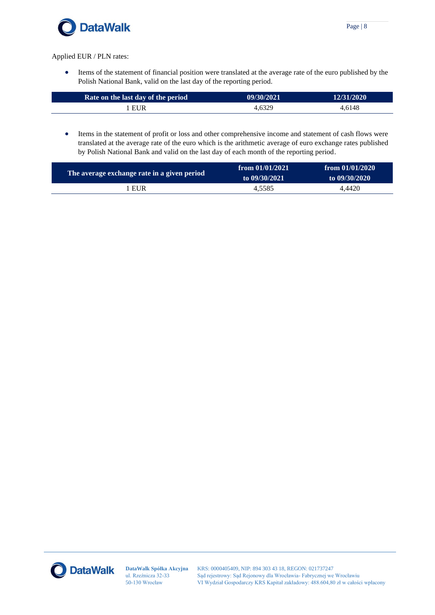

Applied EUR / PLN rates:

 $\overline{\phantom{a}}$ 

• Items of the statement of financial position were translated at the average rate of the euro published by the Polish National Bank, valid on the last day of the reporting period.

| Rate on the last day of the period | 09/30/2021 | 12/31/2020 |
|------------------------------------|------------|------------|
| EUR                                | 4.6329     | 4.6148     |

• Items in the statement of profit or loss and other comprehensive income and statement of cash flows were translated at the average rate of the euro which is the arithmetic average of euro exchange rates published by Polish National Bank and valid on the last day of each month of the reporting period.

| The average exchange rate in a given period | from $01/01/2021$<br>to 09/30/2021 | from $01/01/2020$<br>to 09/30/2020 |
|---------------------------------------------|------------------------------------|------------------------------------|
| EUR                                         | 4.5585                             | 4,4420                             |

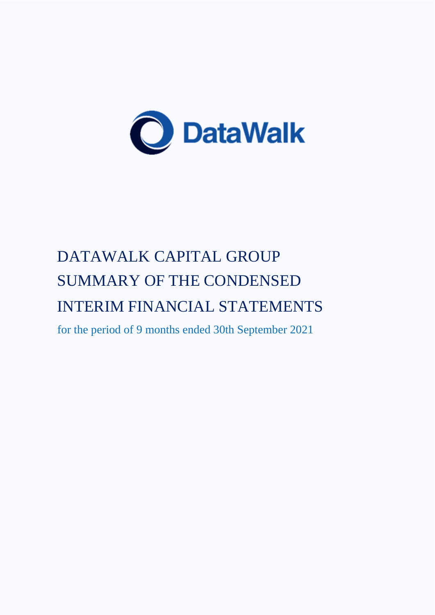

# DATAWALK CAPITAL GROUP SUMMARY OF THE CONDENSED INTERIM FINANCIAL STATEMENTS

for the period of 9 months ended 30th September 2021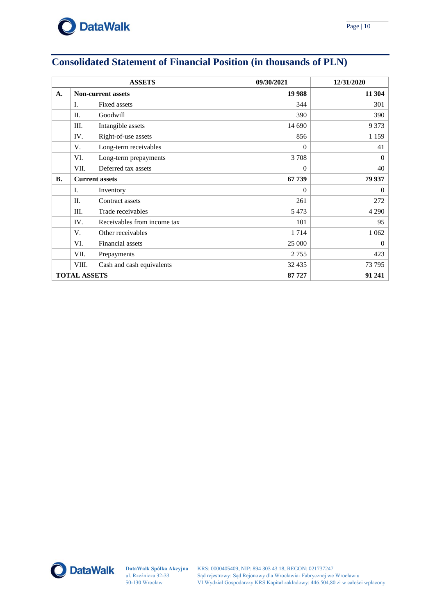

|           | <b>ASSETS</b>         |                             | 09/30/2021     | 12/31/2020     |
|-----------|-----------------------|-----------------------------|----------------|----------------|
| A.        |                       | <b>Non-current assets</b>   | 19 988         | 11 304         |
|           | I.                    | Fixed assets                | 344            | 301            |
|           | П.                    | Goodwill                    | 390            | 390            |
|           | Ш.                    | Intangible assets           | 14 690         | 9 3 7 3        |
|           | IV.                   | Right-of-use assets         | 856            | 1 1 5 9        |
|           | V.                    | Long-term receivables       | $\overline{0}$ | 41             |
|           | VI.                   | Long-term prepayments       | 3 7 0 8        | $\overline{0}$ |
|           | VII.                  | Deferred tax assets         | $\theta$       | 40             |
| <b>B.</b> | <b>Current assets</b> |                             | 67739          | 79 937         |
|           | I.                    | Inventory                   | $\overline{0}$ | $\overline{0}$ |
|           | П.                    | Contract assets             | 261            | 272            |
|           | Ш.                    | Trade receivables           | 5 4 7 3        | 4 2 9 0        |
|           | IV.                   | Receivables from income tax | 101            | 95             |
|           | V.                    | Other receivables           | 1714           | 1 0 6 2        |
|           | VI.                   | Financial assets            | 25 000         | $\mathbf{0}$   |
|           | VII.                  | Prepayments                 | 2 7 5 5        | 423            |
|           | VIII.                 | Cash and cash equivalents   | 32 4 35        | 73 795         |
|           | <b>TOTAL ASSETS</b>   |                             | 87 727         | 91 241         |

# <span id="page-9-1"></span><span id="page-9-0"></span>**Consolidated Statement of Financial Position (in thousands of PLN)**

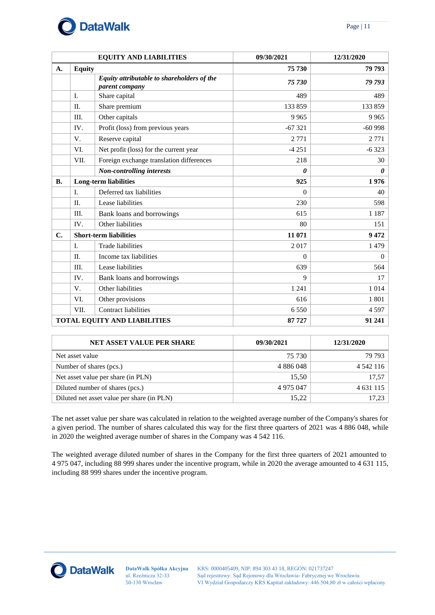

|           |                | <b>EQUITY AND LIABILITIES</b>                                | 09/30/2021     | 12/31/2020     |
|-----------|----------------|--------------------------------------------------------------|----------------|----------------|
| A.        | <b>Equity</b>  |                                                              | 75 730         | 79 793         |
|           |                | Equity attributable to shareholders of the<br>parent company | 75 730         | 79 793         |
|           | $\mathbf{I}$ . | Share capital                                                | 489            | 489            |
|           | Π.             | Share premium                                                | 133 859        | 133 859        |
|           | Ш.             | Other capitals                                               | 9 9 6 5        | 9 9 6 5        |
|           | IV.            | Profit (loss) from previous years                            | $-67321$       | $-60998$       |
|           | V.             | Reserve capital                                              | 2 7 7 1        | 2 7 7 1        |
|           | VI.            | Net profit (loss) for the current year                       | $-4251$        | $-6323$        |
|           | VII.           | Foreign exchange translation differences                     | 218            | 30             |
|           |                | <b>Non-controlling interests</b>                             | 0              | 0              |
| <b>B.</b> |                | <b>Long-term liabilities</b>                                 | 925            | 1976           |
|           | I.             | Deferred tax liabilities                                     | $\overline{0}$ | 40             |
|           | $\Pi$ .        | Lease liabilities                                            | 230            | 598            |
|           | Ш.             | Bank loans and borrowings                                    | 615            | 1 1 8 7        |
|           | IV.            | Other liabilities                                            | 80             | 151            |
| C.        |                | <b>Short-term liabilities</b>                                | 11 071         | 9 4 7 2        |
|           | I.             | <b>Trade liabilities</b>                                     | 2017           | 1 4 7 9        |
|           | $\Pi$ .        | Income tax liabilities                                       | $\Omega$       | $\overline{0}$ |
|           | III.           | Lease liabilities                                            | 639            | 564            |
|           | IV.            | Bank loans and borrowings                                    | 9              | 17             |
|           | V.             | Other liabilities                                            | 1 2 4 1        | 1 0 1 4        |
|           | VI.            | Other provisions                                             | 616            | 1 801          |
|           | VII.           | <b>Contract liabilities</b>                                  | 6 5 5 0        | 4 5 9 7        |
|           |                | TOTAL EQUITY AND LIABILITIES                                 | 87 727         | 91 241         |

| <b>NET ASSET VALUE PER SHARE</b>           | 09/30/2021 | 12/31/2020    |
|--------------------------------------------|------------|---------------|
| Net asset value                            | 75 730     | 79 793        |
| Number of shares (pcs.)                    | 4 886 048  | 4 5 4 2 1 1 6 |
| Net asset value per share (in PLN)         | 15.50      | 17,57         |
| Diluted number of shares (pcs.)            | 4 975 047  | 4 631 115     |
| Diluted net asset value per share (in PLN) | 15.22      | 17,23         |

The net asset value per share was calculated in relation to the weighted average number of the Company's shares for a given period. The number of shares calculated this way for the first three quarters of 2021 was 4 886 048, while in 2020 the weighted average number of shares in the Company was 4 542 116.

The weighted average diluted number of shares in the Company for the first three quarters of 2021 amounted to 4 975 047, including 88 999 shares under the incentive program, while in 2020 the average amounted to 4 631 115, including 88 999 shares under the incentive program.

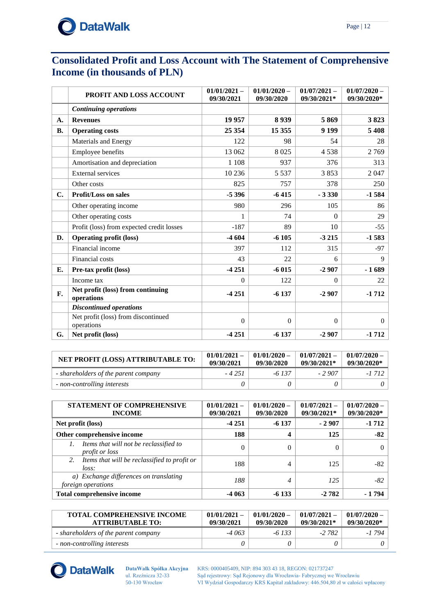

## <span id="page-11-0"></span>**Consolidated Profit and Loss Account with The Statement of Comprehensive Income (in thousands of PLN)**

|           | <b>PROFIT AND LOSS ACCOUNT</b>                    | $01/01/2021 -$<br>09/30/2021 | $01/01/2020 -$<br>09/30/2020 | $01/07/2021 -$<br>09/30/2021* | $01/07/2020 -$<br>09/30/2020* |
|-----------|---------------------------------------------------|------------------------------|------------------------------|-------------------------------|-------------------------------|
|           | <b>Continuing operations</b>                      |                              |                              |                               |                               |
| A.        | <b>Revenues</b>                                   | 19 957                       | 8939                         | 5869                          | 3823                          |
| <b>B.</b> | <b>Operating costs</b>                            | 25 3 5 4                     | 15 3 5 5                     | 9 1 9 9                       | 5 4 0 8                       |
|           | Materials and Energy                              | 122                          | 98                           | 54                            | 28                            |
|           | Employee benefits                                 | 13 062                       | 8 0 25                       | 4538                          | 2769                          |
|           | Amortisation and depreciation                     | 1 1 0 8                      | 937                          | 376                           | 313                           |
|           | External services                                 | 10 236                       | 5 5 3 7                      | 3853                          | 2047                          |
|           | Other costs                                       | 825                          | 757                          | 378                           | 250                           |
| C.        | <b>Profit/Loss on sales</b>                       | $-5396$                      | $-6415$                      | $-3330$                       | $-1584$                       |
|           | Other operating income                            | 980                          | 296                          | 105                           | 86                            |
|           | Other operating costs                             | 1                            | 74                           | $\Omega$                      | 29                            |
|           | Profit (loss) from expected credit losses         | $-187$                       | 89                           | 10                            | $-55$                         |
| D.        | <b>Operating profit (loss)</b>                    | $-4604$                      | $-6105$                      | $-3215$                       | $-1583$                       |
|           | Financial income                                  | 397                          | 112                          | 315                           | $-97$                         |
|           | Financial costs                                   | 43                           | 22                           | 6                             | 9                             |
| E.        | Pre-tax profit (loss)                             | $-4251$                      | $-6015$                      | $-2907$                       | $-1689$                       |
|           | Income tax                                        | $\boldsymbol{0}$             | 122                          | $\theta$                      | 22                            |
| F.        | Net profit (loss) from continuing<br>operations   | $-4251$                      | $-6137$                      | $-2907$                       | $-1712$                       |
|           | <b>Discontinued operations</b>                    |                              |                              |                               |                               |
|           | Net profit (loss) from discontinued<br>operations | $\overline{0}$               | $\mathbf{0}$                 | $\Omega$                      | $\overline{0}$                |
| G.        | Net profit (loss)                                 | $-4251$                      | $-6137$                      | $-2907$                       | $-1712$                       |

| NET PROFIT (LOSS) ATTRIBUTABLE TO:   | $01/01/2021 -$<br>09/30/2021 | $01/01/2020 -$<br>09/30/2020 | $01/07/2021 -$<br>$09/30/2021*$ | $01/07/2020 -$<br>$09/30/2020*$ |
|--------------------------------------|------------------------------|------------------------------|---------------------------------|---------------------------------|
| - shareholders of the parent company | $-4251$                      | $-6137$                      | $-2.907$                        | -1 712                          |
| - non-controlling interests          |                              |                              |                                 |                                 |

| STATEMENT OF COMPREHENSIVE<br><b>INCOME</b>                         | $01/01/2021 -$<br>09/30/2021 | $01/01/2020 -$<br>09/30/2020 | $01/07/2021 -$<br>$09/30/2021*$ | $01/07/2020 -$<br>09/30/2020* |
|---------------------------------------------------------------------|------------------------------|------------------------------|---------------------------------|-------------------------------|
| Net profit (loss)                                                   | $-4251$                      | $-6137$                      | $-2907$                         | $-1712$                       |
| Other comprehensive income                                          | 188                          | 4                            | 125                             | $-82$                         |
| Items that will not be reclassified to<br><i>profit or loss</i>     | 0                            |                              | 0                               | 0                             |
| Items that will be reclassified to profit or<br>loss:               | 188                          | 4                            | 125                             | -82                           |
| a) Exchange differences on translating<br><i>foreign operations</i> | 188                          | 4                            | 125                             | $-82$                         |
| <b>Total comprehensive income</b>                                   | $-4063$                      | $-6133$                      | $-2782$                         | - 1 794                       |

| <b>TOTAL COMPREHENSIVE INCOME</b><br><b>ATTRIBUTABLE TO:</b> | $01/01/2021 -$<br>09/30/2021 | $01/01/2020 -$<br>09/30/2020 | $01/07/2021 -$<br>$09/30/2021*$ | $01/07/2020 -$<br>$09/30/2020*$ |
|--------------------------------------------------------------|------------------------------|------------------------------|---------------------------------|---------------------------------|
| - shareholders of the parent company                         | $-4063$                      | $-6133$                      | -2 782                          | -1794                           |
| - non-controlling interests                                  |                              |                              |                                 |                                 |



**DataWalk Spółka Akcyjna** ul. Rzeźnicza 32-33 50-130 Wrocław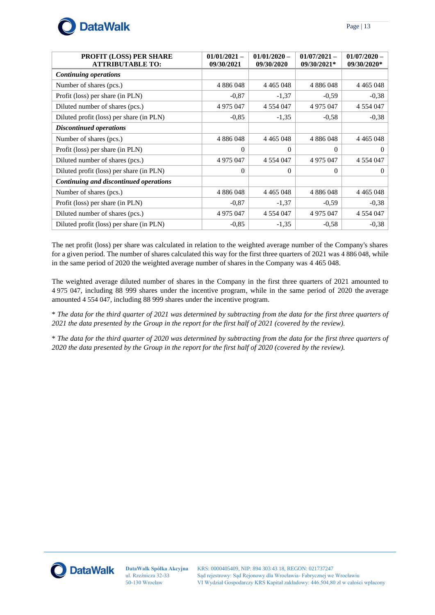

| <b>PROFIT (LOSS) PER SHARE</b><br><b>ATTRIBUTABLE TO:</b> | $01/01/2021 -$<br>09/30/2021 | $01/01/2020 -$<br>09/30/2020 | $01/07/2021 -$<br>09/30/2021* | $01/07/2020$ -<br>09/30/2020* |
|-----------------------------------------------------------|------------------------------|------------------------------|-------------------------------|-------------------------------|
| <b>Continuing operations</b>                              |                              |                              |                               |                               |
| Number of shares (pcs.)                                   | 4 8 8 6 0 4 8                | 4 4 6 5 0 4 8                | 4 8 8 6 0 4 8                 | 4 4 6 5 0 4 8                 |
| Profit (loss) per share (in PLN)                          | $-0.87$                      | $-1,37$                      | $-0,59$                       | $-0,38$                       |
| Diluted number of shares (pcs.)                           | 4 975 047                    | 4 5 5 4 0 4 7                | 4 975 047                     | 4 5 5 4 0 4 7                 |
| Diluted profit (loss) per share (in PLN)                  | $-0.85$                      | $-1,35$                      | $-0.58$                       | $-0,38$                       |
| <b>Discontinued operations</b>                            |                              |                              |                               |                               |
| Number of shares (pcs.)                                   | 4 8 8 6 0 4 8                | 4 4 6 5 0 4 8                | 4 8 8 6 0 4 8                 | 4 4 6 5 0 4 8                 |
| Profit (loss) per share (in PLN)                          | $\Omega$                     | $\Omega$                     | $\theta$                      | $\Omega$                      |
| Diluted number of shares (pcs.)                           | 4 9 7 5 0 4 7                | 4 5 5 4 0 4 7                | 4 9 7 5 0 4 7                 | 4 5 5 4 0 4 7                 |
| Diluted profit (loss) per share (in PLN)                  | $\Omega$                     | $\theta$                     | $\Omega$                      | $\Omega$                      |
| Continuing and discontinued operations                    |                              |                              |                               |                               |
| Number of shares (pcs.)                                   | 4 8 8 6 0 4 8                | 4 4 6 5 0 4 8                | 4 8 8 6 0 4 8                 | 4 4 6 5 0 4 8                 |
| Profit (loss) per share (in PLN)                          | $-0,87$                      | $-1,37$                      | $-0,59$                       | $-0,38$                       |
| Diluted number of shares (pcs.)                           | 4 975 047                    | 4 5 5 4 0 4 7                | 4 975 047                     | 4 5 5 4 0 4 7                 |
| Diluted profit (loss) per share (in PLN)                  | $-0.85$                      | $-1,35$                      | $-0.58$                       | $-0,38$                       |

The net profit (loss) per share was calculated in relation to the weighted average number of the Company's shares for a given period. The number of shares calculated this way for the first three quarters of 2021 was 4 886 048, while in the same period of 2020 the weighted average number of shares in the Company was 4 465 048.

The weighted average diluted number of shares in the Company in the first three quarters of 2021 amounted to 4 975 047, including 88 999 shares under the incentive program, while in the same period of 2020 the average amounted 4 554 047, including 88 999 shares under the incentive program.

\* *The data for the third quarter of 2021 was determined by subtracting from the data for the first three quarters of 2021 the data presented by the Group in the report for the first half of 2021 (covered by the review).*

\* *The data for the third quarter of 2020 was determined by subtracting from the data for the first three quarters of 2020 the data presented by the Group in the report for the first half of 2020 (covered by the review).*

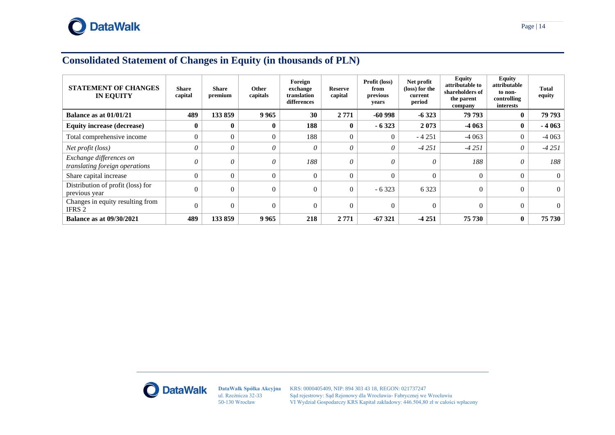# **Consolidated Statement of Changes in Equity (in thousands of PLN)**

<span id="page-13-0"></span>

| <b>STATEMENT OF CHANGES</b><br><b>IN EQUITY</b>           | <b>Share</b><br>capital | <b>Share</b><br>premium | Other<br>capitals | Foreign<br>exchange<br>translation<br>differences | <b>Reserve</b><br>capital | Profit (loss)<br>from<br>previous<br>years | Net profit<br>(loss) for the<br>current<br>period | Equity<br>attributable to<br>shareholders of<br>the parent<br>company | <b>Equity</b><br>attributable<br>to non-<br>controlling<br>interests | <b>Total</b><br>equity |
|-----------------------------------------------------------|-------------------------|-------------------------|-------------------|---------------------------------------------------|---------------------------|--------------------------------------------|---------------------------------------------------|-----------------------------------------------------------------------|----------------------------------------------------------------------|------------------------|
| Balance as at 01/01/21                                    | 489                     | 133 859                 | 9 9 6 5           | 30                                                | 2 7 7 1                   | $-60998$                                   | $-6323$                                           | 79 793                                                                | $\mathbf{0}$                                                         | 79 793                 |
| Equity increase (decrease)                                | 0                       | $\mathbf{0}$            | $\mathbf{0}$      | 188                                               | $\mathbf{0}$              | $-6323$                                    | 2073                                              | $-4063$                                                               | $\bf{0}$                                                             | $-4063$                |
| Total comprehensive income                                | $\overline{0}$          | $\Omega$                | $\theta$          | 188                                               | 0                         | $\Omega$                                   | $-4251$                                           | $-4063$                                                               | $\theta$                                                             | $-4063$                |
| Net profit (loss)                                         | 0                       | $\theta$                | 0                 | 0                                                 | 0                         | $\theta$                                   | $-4251$                                           | $-4251$                                                               | $\theta$                                                             | $-4251$                |
| Exchange differences on<br>translating foreign operations | 0                       | $\sqrt{a}$              | 0                 | 188                                               | 0                         | $\theta$                                   | $\theta$                                          | 188                                                                   | $\theta$                                                             | 188                    |
| Share capital increase                                    | $\Omega$                | $\theta$                | $\Omega$          | $\Omega$                                          | $\Omega$                  | $\Omega$                                   |                                                   | $\Omega$                                                              | $\Omega$                                                             | $\theta$               |
| Distribution of profit (loss) for<br>previous year        | $\theta$                | $\theta$                | $\theta$          | $\theta$                                          | $\Omega$                  | $-6323$                                    | 6 3 2 3                                           | $\theta$                                                              | $\Omega$                                                             | $\Omega$               |
| Changes in equity resulting from<br><b>IFRS 2</b>         | $\theta$                | $\Omega$                | $\theta$          | $\theta$                                          | $\Omega$                  | $\theta$                                   |                                                   | $\theta$                                                              | $\Omega$                                                             | $\Omega$               |
| <b>Balance as at 09/30/2021</b>                           | 489                     | 133 859                 | 9 9 6 5           | 218                                               | 2 7 7 1                   | $-67321$                                   | $-4251$                                           | 75 730                                                                | $\bf{0}$                                                             | 75 730                 |

**O** DataWalk

ul. Rzeźnicza 32-33 50-130 Wrocław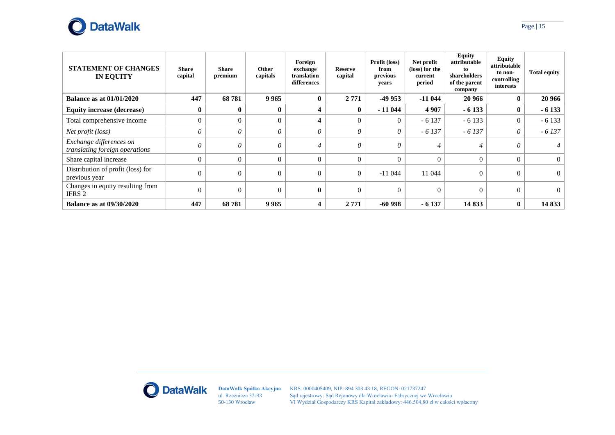

| <b>STATEMENT OF CHANGES</b><br><b>IN EQUITY</b>           | Share<br>capital | <b>Share</b><br>premium | <b>Other</b><br>capitals | Foreign<br>exchange<br>translation<br>differences | <b>Reserve</b><br>capital | Profit (loss)<br>from<br>previous<br>years | Net profit<br>(loss) for the<br>current<br>period | <b>Equity</b><br>attributable<br>to<br>shareholders<br>of the parent<br>company | <b>Equity</b><br>attributable<br>to non-<br>controlling<br>interests | <b>Total equity</b> |
|-----------------------------------------------------------|------------------|-------------------------|--------------------------|---------------------------------------------------|---------------------------|--------------------------------------------|---------------------------------------------------|---------------------------------------------------------------------------------|----------------------------------------------------------------------|---------------------|
| <b>Balance as at 01/01/2020</b>                           | 447              | 68781                   | 9 9 6 5                  | $\bf{0}$                                          | 2771                      | $-49953$                                   | $-11044$                                          | 20 966                                                                          | $\mathbf{0}$                                                         | 20 966              |
| <b>Equity increase (decrease)</b>                         | $\bf{0}$         | $\bf{0}$                | $\bf{0}$                 | 4                                                 | $\mathbf{0}$              | $-11044$                                   | 4907                                              | $-6133$                                                                         | $\bf{0}$                                                             | $-6133$             |
| Total comprehensive income                                | $\mathbf{0}$     | $\mathbf{0}$            | $\overline{0}$           | 4                                                 | $\Omega$                  | $\Omega$                                   | $-6137$                                           | $-6133$                                                                         | $\overline{0}$                                                       | $-6133$             |
| Net profit (loss)                                         | $\theta$         | $\theta$                | $\theta$                 | $\theta$                                          | 0                         | 0                                          | $-6137$                                           | $-6137$                                                                         | $\theta$                                                             | $-6137$             |
| Exchange differences on<br>translating foreign operations |                  | $\theta$                | $\theta$                 | $\overline{4}$                                    | 0                         | 0                                          |                                                   | 4                                                                               | 0                                                                    |                     |
| Share capital increase                                    | $\overline{0}$   | $\mathbf{0}$            | $\mathbf{0}$             | $\mathbf{0}$                                      | 0                         |                                            | $\Omega$                                          | $\theta$                                                                        | $\Omega$                                                             |                     |
| Distribution of profit (loss) for<br>previous year        | $\Omega$         | $\theta$                | $\Omega$                 | $\theta$                                          | $\theta$                  | $-11044$                                   | 11 044                                            | $\theta$                                                                        | $\Omega$                                                             | $\Omega$            |
| Changes in equity resulting from<br><b>IFRS 2</b>         | $\Omega$         | $\theta$                | $\Omega$                 | $\mathbf{0}$                                      | $\theta$                  | $\Omega$                                   | $\Omega$                                          | $\Omega$                                                                        | $\Omega$                                                             |                     |
| <b>Balance as at 09/30/2020</b>                           | 447              | 68781                   | 9 9 6 5                  | 4                                                 | 2771                      | $-60998$                                   | $-6137$                                           | 14 8 33                                                                         | $\bf{0}$                                                             | 14833               |



**DataWalk Spółka Akcyjna** ul. Rzeźnicza 32-33 50-130 Wrocław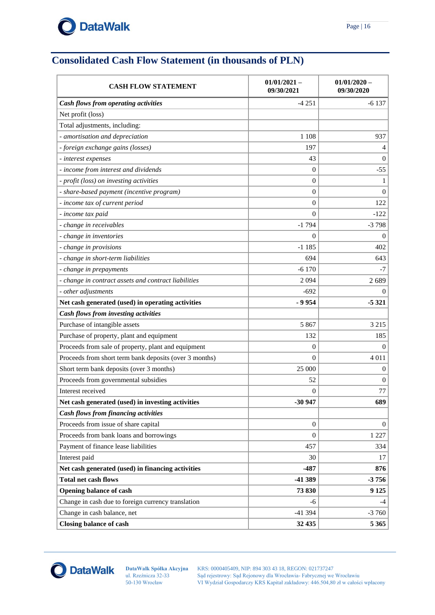

## <span id="page-15-0"></span>**Consolidated Cash Flow Statement (in thousands of PLN)**

| <b>CASH FLOW STATEMENT</b>                             | $01/01/2021 -$<br>09/30/2021 | $01/01/2020 -$<br>09/30/2020 |
|--------------------------------------------------------|------------------------------|------------------------------|
| Cash flows from operating activities                   | $-4251$                      | $-6137$                      |
| Net profit (loss)                                      |                              |                              |
| Total adjustments, including:                          |                              |                              |
| - amortisation and depreciation                        | 1 1 0 8                      | 937                          |
| - foreign exchange gains (losses)                      | 197                          | 4                            |
| - interest expenses                                    | 43                           | $\theta$                     |
| - income from interest and dividends                   | $\boldsymbol{0}$             | $-55$                        |
| - profit (loss) on investing activities                | $\mathbf{0}$                 | 1                            |
| - share-based payment (incentive program)              | $\mathbf{0}$                 | $\overline{0}$               |
| - income tax of current period                         | $\mathbf{0}$                 | 122                          |
| - income tax paid                                      | $\theta$                     | $-122$                       |
| - change in receivables                                | $-1794$                      | $-3798$                      |
| - change in inventories                                | 0                            | $\theta$                     |
| - change in provisions                                 | $-1185$                      | 402                          |
| - change in short-term liabilities                     | 694                          | 643                          |
| - change in prepayments                                | $-6170$                      | $-7$                         |
| - change in contract assets and contract liabilities   | 2094                         | 2689                         |
| - other adjustments                                    | $-692$                       | $\theta$                     |
| Net cash generated (used) in operating activities      | $-9954$                      | $-5321$                      |
| Cash flows from investing activities                   |                              |                              |
| Purchase of intangible assets                          | 5 8 6 7                      | 3 2 1 5                      |
| Purchase of property, plant and equipment              | 132                          | 185                          |
| Proceeds from sale of property, plant and equipment    | 0                            | $\Omega$                     |
| Proceeds from short term bank deposits (over 3 months) | $\Omega$                     | 4 0 1 1                      |
| Short term bank deposits (over 3 months)               | 25 000                       | $\boldsymbol{0}$             |
| Proceeds from governmental subsidies                   | 52                           | $\boldsymbol{0}$             |
| Interest received                                      | 0                            | 77                           |
| Net cash generated (used) in investing activities      | -30 947                      | 689                          |
| <b>Cash flows from financing activities</b>            |                              |                              |
| Proceeds from issue of share capital                   | $\mathbf{0}$                 | $\overline{0}$               |
| Proceeds from bank loans and borrowings                | $\boldsymbol{0}$             | 1 2 2 7                      |
| Payment of finance lease liabilities                   | 457                          | 334                          |
| Interest paid                                          | 30                           | 17                           |
| Net cash generated (used) in financing activities      | $-487$                       | 876                          |
| <b>Total net cash flows</b>                            | -41 389                      | $-3756$                      |
| <b>Opening balance of cash</b>                         | 73 830                       | 9 1 25                       |
| Change in cash due to foreign currency translation     | -6                           | -4                           |
| Change in cash balance, net                            | -41 394                      | $-3760$                      |
| <b>Closing balance of cash</b>                         | 32 435                       | 5 3 6 5                      |



**DataWalk Spółka Akcyjna** ul. Rzeźnicza 32-33 50-130 Wrocław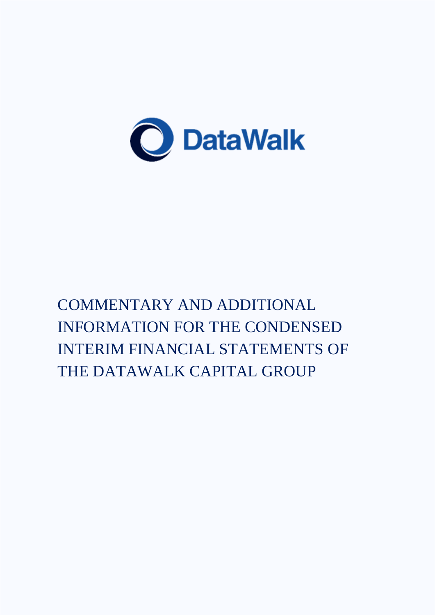

# COMMENTARY AND ADDITIONAL INFORMATION FOR THE CONDENSED INTERIM FINANCIAL STATEMENTS OF THE DATAWALK CAPITAL GROUP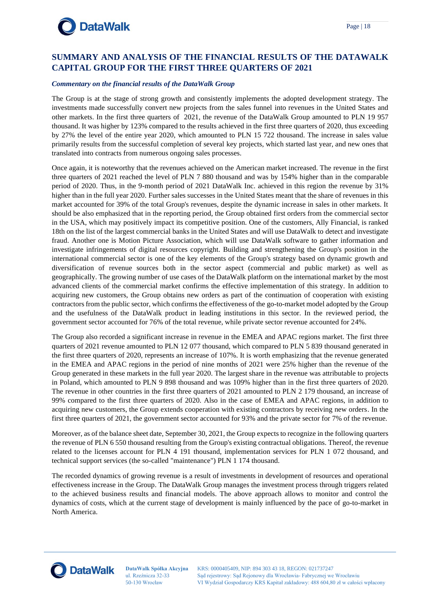# **DataWalk**

#### <span id="page-17-0"></span>*Commentary on the financial results of the DataWalk Group*

The Group is at the stage of strong growth and consistently implements the adopted development strategy. The investments made successfully convert new projects from the sales funnel into revenues in the United States and other markets. In the first three quarters of 2021, the revenue of the DataWalk Group amounted to PLN 19 957 thousand. It was higher by 123% compared to the results achieved in the first three quarters of 2020, thus exceeding by 27% the level of the entire year 2020, which amounted to PLN 15 722 thousand. The increase in sales value primarily results from the successful completion of several key projects, which started last year, and new ones that translated into contracts from numerous ongoing sales processes.

Once again, it is noteworthy that the revenues achieved on the American market increased. The revenue in the first three quarters of 2021 reached the level of PLN 7 880 thousand and was by 154% higher than in the comparable period of 2020. Thus, in the 9-month period of 2021 DataWalk Inc. achieved in this region the revenue by 31% higher than in the full year 2020. Further sales successes in the United States meant that the share of revenues in this market accounted for 39% of the total Group's revenues, despite the dynamic increase in sales in other markets. It should be also emphasized that in the reporting period, the Group obtained first orders from the commercial sector in the USA, which may positively impact its competitive position. One of the customers, Ally Financial, is ranked 18th on the list of the largest commercial banks in the United States and will use DataWalk to detect and investigate fraud. Another one is Motion Picture Association, which will use DataWalk software to gather information and investigate infringements of digital resources copyright. Building and strengthening the Group's position in the international commercial sector is one of the key elements of the Group's strategy based on dynamic growth and diversification of revenue sources both in the sector aspect (commercial and public market) as well as geographically. The growing number of use cases of the DataWalk platform on the international market by the most advanced clients of the commercial market confirms the effective implementation of this strategy. In addition to acquiring new customers, the Group obtains new orders as part of the continuation of cooperation with existing contractors from the public sector, which confirms the effectiveness of the go-to-market model adopted by the Group and the usefulness of the DataWalk product in leading institutions in this sector. In the reviewed period, the government sector accounted for 76% of the total revenue, while private sector revenue accounted for 24%.

The Group also recorded a significant increase in revenue in the EMEA and APAC regions market. The first three quarters of 2021 revenue amounted to PLN 12 077 thousand, which compared to PLN 5 839 thousand generated in the first three quarters of 2020, represents an increase of 107%. It is worth emphasizing that the revenue generated in the EMEA and APAC regions in the period of nine months of 2021 were 25% higher than the revenue of the Group generated in these markets in the full year 2020. The largest share in the revenue was attributable to projects in Poland, which amounted to PLN 9 898 thousand and was 109% higher than in the first three quarters of 2020. The revenue in other countries in the first three quarters of 2021 amounted to PLN 2 179 thousand, an increase of 99% compared to the first three quarters of 2020. Also in the case of EMEA and APAC regions, in addition to acquiring new customers, the Group extends cooperation with existing contractors by receiving new orders. In the first three quarters of 2021, the government sector accounted for 93% and the private sector for 7% of the revenue.

Moreover, as of the balance sheet date, September 30, 2021, the Group expects to recognize in the following quarters the revenue of PLN 6 550 thousand resulting from the Group's existing contractual obligations. Thereof, the revenue related to the licenses account for PLN 4 191 thousand, implementation services for PLN 1 072 thousand, and technical support services (the so-called "maintenance") PLN 1 174 thousand.

The recorded dynamics of growing revenue is a result of investments in development of resources and operational effectiveness increase in the Group. The DataWalk Group manages the investment process through triggers related to the achieved business results and financial models. The above approach allows to monitor and control the dynamics of costs, which at the current stage of development is mainly influenced by the pace of go-to-market in North America.

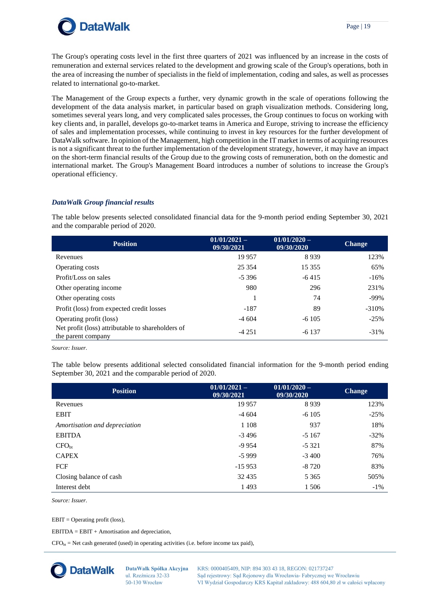

The Group's operating costs level in the first three quarters of 2021 was influenced by an increase in the costs of remuneration and external services related to the development and growing scale of the Group's operations, both in the area of increasing the number of specialists in the field of implementation, coding and sales, as well as processes related to international go-to-market.

The Management of the Group expects a further, very dynamic growth in the scale of operations following the development of the data analysis market, in particular based on graph visualization methods. Considering long, sometimes several years long, and very complicated sales processes, the Group continues to focus on working with key clients and, in parallel, develops go-to-market teams in America and Europe, striving to increase the efficiency of sales and implementation processes, while continuing to invest in key resources for the further development of DataWalk software. In opinion of the Management, high competition in the IT market in terms of acquiring resources is not a significant threat to the further implementation of the development strategy, however, it may have an impact on the short-term financial results of the Group due to the growing costs of remuneration, both on the domestic and international market. The Group's Management Board introduces a number of solutions to increase the Group's operational efficiency.

#### *DataWalk Group financial results*

The table below presents selected consolidated financial data for the 9-month period ending September 30, 2021 and the comparable period of 2020.

| <b>Position</b>                                                         | $01/01/2021 -$<br>09/30/2021 | $01/01/2020 -$<br>09/30/2020 | <b>Change</b> |
|-------------------------------------------------------------------------|------------------------------|------------------------------|---------------|
| Revenues                                                                | 19 9 57                      | 8939                         | 123%          |
| Operating costs                                                         | 25 3 5 4                     | 15 355                       | 65%           |
| Profit/Loss on sales                                                    | $-5396$                      | $-6415$                      | $-16%$        |
| Other operating income.                                                 | 980                          | 296                          | 231%          |
| Other operating costs                                                   |                              | 74                           | $-99%$        |
| Profit (loss) from expected credit losses                               | $-187$                       | 89                           | $-310%$       |
| Operating profit (loss)                                                 | $-4604$                      | $-6105$                      | $-25%$        |
| Net profit (loss) attributable to shareholders of<br>the parent company | $-4251$                      | $-6137$                      | $-31%$        |

*Source: Issuer.*

The table below presents additional selected consolidated financial information for the 9-month period ending September 30, 2021 and the comparable period of 2020.

| <b>Position</b>               | $01/01/2021 -$<br>09/30/2021 | $01/01/2020 -$<br>09/30/2020 | <b>Change</b> |
|-------------------------------|------------------------------|------------------------------|---------------|
| Revenues                      | 19 9 57                      | 8939                         | 123%          |
| <b>EBIT</b>                   | $-4604$                      | $-6105$                      | $-25%$        |
| Amortisation and depreciation | 1 1 0 8                      | 937                          | 18%           |
| <b>EBITDA</b>                 | $-3496$                      | $-5167$                      | $-32%$        |
| CFO <sub>ht</sub>             | $-9954$                      | $-5321$                      | 87%           |
| <b>CAPEX</b>                  | $-5999$                      | $-3400$                      | 76%           |
| FCF                           | $-15953$                     | $-8720$                      | 83%           |
| Closing balance of cash       | 32 4 35                      | 5 3 6 5                      | 505%          |
| Interest debt                 | 1493                         | 1 506                        | $-1\%$        |

*Source: Issuer.*

 $EBIT = Operating profit (loss),$ 

EBITDA = EBIT + Amortisation and depreciation,

 $CFO_{bt}$  = Net cash generated (used) in operating activities (i.e. before income tax paid),



**DataWalk Spółka Akcyjna** ul. Rzeźnicza 32-33 50-130 Wrocław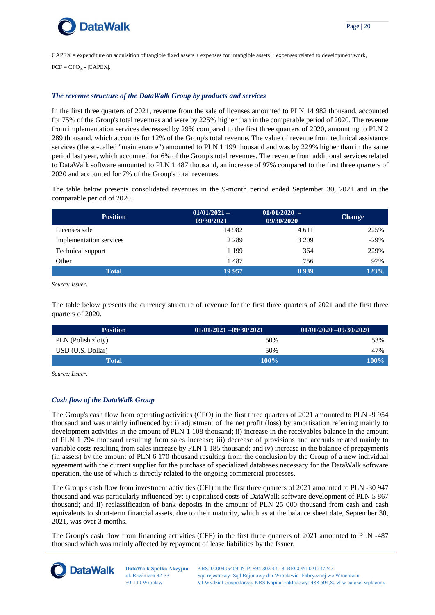

CAPEX = expenditure on acquisition of tangible fixed assets + expenses for intangible assets + expenses related to development work,  $FCF = CFO_{bt} - |CAPEX|.$ 

#### *The revenue structure of the DataWalk Group by products and services*

In the first three quarters of 2021, revenue from the sale of licenses amounted to PLN 14 982 thousand, accounted for 75% of the Group's total revenues and were by 225% higher than in the comparable period of 2020. The revenue from implementation services decreased by 29% compared to the first three quarters of 2020, amounting to PLN 2 289 thousand, which accounts for 12% of the Group's total revenue. The value of revenue from technical assistance services (the so-called "maintenance") amounted to PLN 1 199 thousand and was by 229% higher than in the same period last year, which accounted for 6% of the Group's total revenues. The revenue from additional services related to DataWalk software amounted to PLN 1 487 thousand, an increase of 97% compared to the first three quarters of 2020 and accounted for 7% of the Group's total revenues.

The table below presents consolidated revenues in the 9-month period ended September 30, 2021 and in the comparable period of 2020.

| <b>Position</b>         | $01/01/2021 -$<br>09/30/2021 | $01/01/2020 -$<br>09/30/2020 | <b>Change</b> |
|-------------------------|------------------------------|------------------------------|---------------|
| Licenses sale           | 14 9 82                      | 4 6 1 1                      | 225%          |
| Implementation services | 2 2 8 9                      | 3 2 0 9                      | $-29%$        |
| Technical support       | 1 1 9 9                      | 364                          | 229%          |
| Other                   | 1487                         | 756                          | 97%           |
| <b>Total</b>            | 19 9 57                      | 8939                         | 123%          |

*Source: Issuer.*

The table below presents the currency structure of revenue for the first three quarters of 2021 and the first three quarters of 2020.

| <b>Position</b>    | $01/01/2021 - 09/30/2021$ | $01/01/2020 - 09/30/2020$ |
|--------------------|---------------------------|---------------------------|
| PLN (Polish zloty) | 50%                       | 53%                       |
| USD (U.S. Dollar)  | 50%                       | 47%                       |
| Total              | $100\%$                   | $100\%$                   |

*Source: Issuer.*

#### *Cash flow of the DataWalk Group*

The Group's cash flow from operating activities (CFO) in the first three quarters of 2021 amounted to PLN -9 954 thousand and was mainly influenced by: i) adjustment of the net profit (loss) by amortisation referring mainly to development activities in the amount of PLN 1 108 thousand; ii) increase in the receivables balance in the amount of PLN 1 794 thousand resulting from sales increase; iii) decrease of provisions and accruals related mainly to variable costs resulting from sales increase by PLN 1 185 thousand; and iv) increase in the balance of prepayments (in assets) by the amount of PLN 6 170 thousand resulting from the conclusion by the Group of a new individual agreement with the current supplier for the purchase of specialized databases necessary for the DataWalk software operation, the use of which is directly related to the ongoing commercial processes.

The Group's cash flow from investment activities (CFI) in the first three quarters of 2021 amounted to PLN -30 947 thousand and was particularly influenced by: i) capitalised costs of DataWalk software development of PLN 5 867 thousand; and ii) reclassification of bank deposits in the amount of PLN 25 000 thousand from cash and cash equivalents to short-term financial assets, due to their maturity, which as at the balance sheet date, September 30, 2021, was over 3 months.

The Group's cash flow from financing activities (CFF) in the first three quarters of 2021 amounted to PLN -487 thousand which was mainly affected by repayment of lease liabilities by the Issuer.

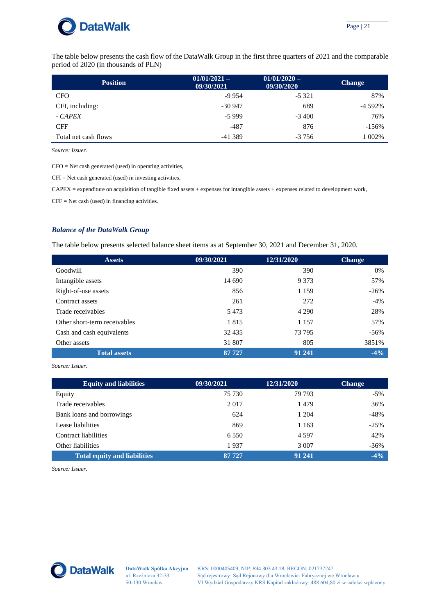



The table below presents the cash flow of the DataWalk Group in the first three quarters of 2021 and the comparable period of 2020 (in thousands of PLN)

| <b>Position</b>      | $01/01/2021 -$<br>09/30/2021 | $01/01/2020 -$<br>09/30/2020 | <b>Change</b> |
|----------------------|------------------------------|------------------------------|---------------|
| <b>CFO</b>           | $-9954$                      | $-5321$                      | 87%           |
| CFI, including:      | $-30947$                     | 689                          | -4 592%       |
| - CAPEX              | $-5999$                      | $-3400$                      | 76%           |
| <b>CFF</b>           | -487                         | 876                          | $-156%$       |
| Total net cash flows | $-41389$                     | $-3756$                      | 002%          |

*Source: Issuer.*

CFO = Net cash generated (used) in operating activities,

CFI = Net cash generated (used) in investing activities,

CAPEX = expenditure on acquisition of tangible fixed assets + expenses for intangible assets + expenses related to development work,

CFF = Net cash (used) in financing activities.

#### *Balance of the DataWalk Group*

The table below presents selected balance sheet items as at September 30, 2021 and December 31, 2020.

| <b>Assets</b>                | 09/30/2021 | 12/31/2020 | <b>Change</b> |
|------------------------------|------------|------------|---------------|
| Goodwill                     | 390        | 390        | 0%            |
| Intangible assets            | 14 690     | 9 3 7 3    | 57%           |
| Right-of-use assets          | 856        | 1 1 5 9    | $-26%$        |
| Contract assets              | 261        | 272        | $-4%$         |
| Trade receivables            | 5473       | 4 2 9 0    | 28%           |
| Other short-term receivables | 1815       | 1 1 5 7    | 57%           |
| Cash and cash equivalents    | 32 4 35    | 73 795     | $-56\%$       |
| Other assets                 | 31 807     | 805        | 3851%         |
| <b>Total assets</b>          | 87 727     | 91 241     | $-4\%$        |

*Source: Issuer.*

| <b>Equity and liabilities</b>       | 09/30/2021 | 12/31/2020 | <b>Change</b> |
|-------------------------------------|------------|------------|---------------|
| Equity                              | 75 730     | 79 793     | $-5\%$        |
| Trade receivables                   | 2017       | 1479       | 36%           |
| Bank loans and borrowings           | 624        | 1 204      | $-48%$        |
| Lease liabilities                   | 869        | 1 1 6 3    | $-25%$        |
| Contract liabilities                | 6 5 5 0    | 4 5 9 7    | 42%           |
| Other liabilities                   | 1937       | 3 0 0 7    | $-36%$        |
| <b>Total equity and liabilities</b> | 87 727     | 91 241     | $-4%$         |

*Source: Issuer.*



**DataWalk Spółka Akcyjna** ul. Rzeźnicza 32-33 50-130 Wrocław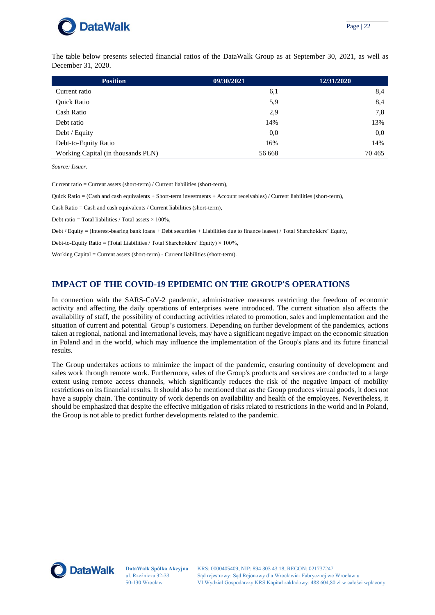

The table below presents selected financial ratios of the DataWalk Group as at September 30, 2021, as well as December 31, 2020.

| <b>Position</b>                    | 09/30/2021 | 12/31/2020 |
|------------------------------------|------------|------------|
| Current ratio                      | 6,1        | 8,4        |
| <b>Quick Ratio</b>                 | 5,9        | 8,4        |
| Cash Ratio                         | 2.9        | 7,8        |
| Debt ratio                         | 14%        | 13%        |
| Debt / Equity                      | 0.0        | 0.0        |
| Debt-to-Equity Ratio               | 16%        | 14%        |
| Working Capital (in thousands PLN) | 56 668     | 70 4 65    |

*Source: Issuer.*

Current ratio = Current assets (short-term) / Current liabilities (short-term),

Quick Ratio = (Cash and cash equivalents + Short-term investments + Account receivables) / Current liabilities (short-term),

Cash Ratio = Cash and cash equivalents / Current liabilities (short-term),

Debt ratio = Total liabilities / Total assets  $\times$  100%,

Debt / Equity = (Interest-bearing bank loans + Debt securities + Liabilities due to finance leases) / Total Shareholders' Equity,

Debt-to-Equity Ratio = (Total Liabilities / Total Shareholders' Equity)  $\times$  100%,

Working Capital = Current assets (short-term) - Current liabilities (short-term).

#### <span id="page-21-0"></span>**IMPACT OF THE COVID-19 EPIDEMIC ON THE GROUP'S OPERATIONS**

In connection with the SARS-CoV-2 pandemic, administrative measures restricting the freedom of economic activity and affecting the daily operations of enterprises were introduced. The current situation also affects the availability of staff, the possibility of conducting activities related to promotion, sales and implementation and the situation of current and potential Group's customers. Depending on further development of the pandemics, actions taken at regional, national and international levels, may have a significant negative impact on the economic situation in Poland and in the world, which may influence the implementation of the Group's plans and its future financial results.

The Group undertakes actions to minimize the impact of the pandemic, ensuring continuity of development and sales work through remote work. Furthermore, sales of the Group's products and services are conducted to a large extent using remote access channels, which significantly reduces the risk of the negative impact of mobility restrictions on its financial results. It should also be mentioned that as the Group produces virtual goods, it does not have a supply chain. The continuity of work depends on availability and health of the employees. Nevertheless, it should be emphasized that despite the effective mitigation of risks related to restrictions in the world and in Poland, the Group is not able to predict further developments related to the pandemic.

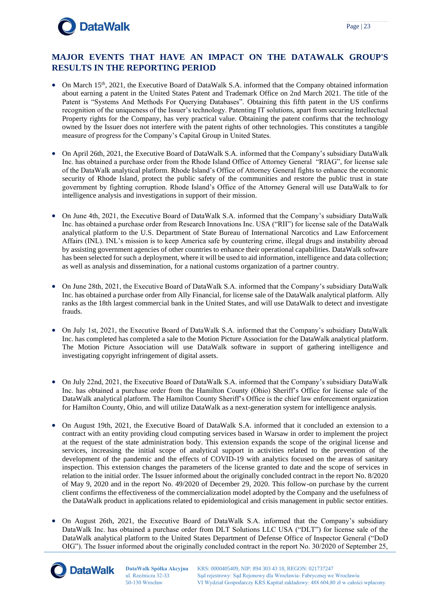# **DataWalk**

### <span id="page-22-0"></span>**MAJOR EVENTS THAT HAVE AN IMPACT ON THE DATAWALK GROUP'S RESULTS IN THE REPORTING PERIOD**

- On March 15<sup>th</sup>, 2021, the Executive Board of DataWalk S.A. informed that the Company obtained information about earning a patent in the United States Patent and Trademark Office on 2nd March 2021. The title of the Patent is "Systems And Methods For Querying Databases". Obtaining this fifth patent in the US confirms recognition of the uniqueness of the Issuer's technology. Patenting IT solutions, apart from securing Intellectual Property rights for the Company, has very practical value. Obtaining the patent confirms that the technology owned by the Issuer does not interfere with the patent rights of other technologies. This constitutes a tangible measure of progress for the Company's Capital Group in United States.
- On April 26th, 2021, the Executive Board of DataWalk S.A. informed that the Company's subsidiary DataWalk Inc. has obtained a purchase order from the Rhode Island Office of Attorney General "RIAG", for license sale of the DataWalk analytical platform. Rhode Island's Office of Attorney General fights to enhance the economic security of Rhode Island, protect the public safety of the communities and restore the public trust in state government by fighting corruption. Rhode Island's Office of the Attorney General will use DataWalk to for intelligence analysis and investigations in support of their mission.
- On June 4th, 2021, the Executive Board of DataWalk S.A. informed that the Company's subsidiary DataWalk Inc. has obtained a purchase order from Research Innovations Inc. USA ("RII") for license sale of the DataWalk analytical platform to the U.S. Department of State Bureau of International Narcotics and Law Enforcement Affairs (INL). INL's mission is to keep America safe by countering crime, illegal drugs and instability abroad by assisting government agencies of other countries to enhance their operational capabilities. DataWalk software has been selected for such a deployment, where it will be used to aid information, intelligence and data collection; as well as analysis and dissemination, for a national customs organization of a partner country.
- On June 28th, 2021, the Executive Board of DataWalk S.A. informed that the Company's subsidiary DataWalk Inc. has obtained a purchase order from Ally Financial, for license sale of the DataWalk analytical platform. Ally ranks as the 18th largest commercial bank in the United States, and will use DataWalk to detect and investigate frauds.
- On July 1st, 2021, the Executive Board of DataWalk S.A. informed that the Company's subsidiary DataWalk Inc. has completed has completed a sale to the Motion Picture Association for the DataWalk analytical platform. The Motion Picture Association will use DataWalk software in support of gathering intelligence and investigating copyright infringement of digital assets.
- On July 22nd, 2021, the Executive Board of DataWalk S.A. informed that the Company's subsidiary DataWalk Inc. has obtained a purchase order from the Hamilton County (Ohio) Sheriff's Office for license sale of the DataWalk analytical platform. The Hamilton County Sheriff's Office is the chief law enforcement organization for Hamilton County, Ohio, and will utilize DataWalk as a next-generation system for intelligence analysis.
- On August 19th, 2021, the Executive Board of DataWalk S.A. informed that it concluded an extension to a contract with an entity providing cloud computing services based in Warsaw in order to implement the project at the request of the state administration body. This extension expands the scope of the original license and services, increasing the initial scope of analytical support in activities related to the prevention of the development of the pandemic and the effects of COVID-19 with analytics focused on the areas of sanitary inspection. This extension changes the parameters of the license granted to date and the scope of services in relation to the initial order. The Issuer informed about the originally concluded contract in the report No. 8/2020 of May 9, 2020 and in the report No. 49/2020 of December 29, 2020. This follow-on purchase by the current client confirms the effectiveness of the commercialization model adopted by the Company and the usefulness of the DataWalk product in applications related to epidemiological and crisis management in public sector entities.
- On August 26th, 2021, the Executive Board of DataWalk S.A. informed that the Company's subsidiary DataWalk Inc. has obtained a purchase order from DLT Solutions LLC USA ("DLT") for license sale of the DataWalk analytical platform to the United States Department of Defense Office of Inspector General ("DoD OIG"). The Issuer informed about the originally concluded contract in the report No. 30/2020 of September 25,

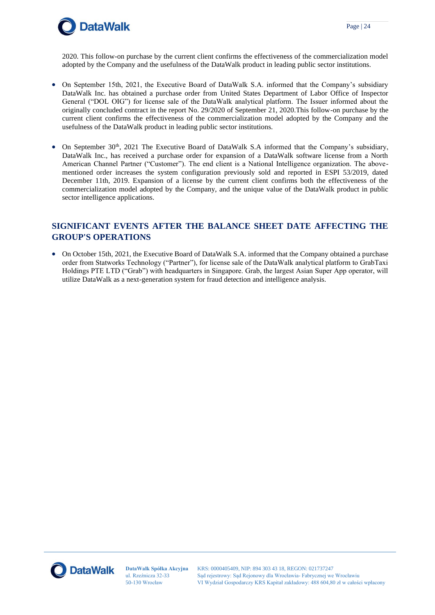

2020. This follow-on purchase by the current client confirms the effectiveness of the commercialization model adopted by the Company and the usefulness of the DataWalk product in leading public sector institutions.

- On September 15th, 2021, the Executive Board of DataWalk S.A. informed that the Company's subsidiary DataWalk Inc. has obtained a purchase order from United States Department of Labor Office of Inspector General ("DOL OIG") for license sale of the DataWalk analytical platform. The Issuer informed about the originally concluded contract in the report No. 29/2020 of September 21, 2020.This follow-on purchase by the current client confirms the effectiveness of the commercialization model adopted by the Company and the usefulness of the DataWalk product in leading public sector institutions.
- On September 30<sup>th</sup>, 2021 The Executive Board of DataWalk S.A informed that the Company's subsidiary, DataWalk Inc., has received a purchase order for expansion of a DataWalk software license from a North American Channel Partner ("Customer"). The end client is a National Intelligence organization. The abovementioned order increases the system configuration previously sold and reported in ESPI 53/2019, dated December 11th, 2019. Expansion of a license by the current client confirms both the effectiveness of the commercialization model adopted by the Company, and the unique value of the DataWalk product in public sector intelligence applications.

### <span id="page-23-0"></span>**SIGNIFICANT EVENTS AFTER THE BALANCE SHEET DATE AFFECTING THE GROUP'S OPERATIONS**

• On October 15th, 2021, the Executive Board of DataWalk S.A. informed that the Company obtained a purchase order from Statworks Technology ("Partner"), for license sale of the DataWalk analytical platform to GrabTaxi Holdings PTE LTD ("Grab") with headquarters in Singapore. Grab, the largest Asian Super App operator, will utilize DataWalk as a next-generation system for fraud detection and intelligence analysis.

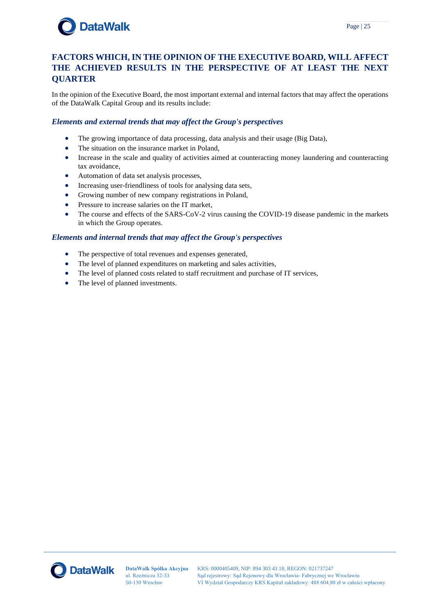# **DataWalk**

## <span id="page-24-0"></span>**FACTORS WHICH, IN THE OPINION OF THE EXECUTIVE BOARD, WILL AFFECT THE ACHIEVED RESULTS IN THE PERSPECTIVE OF AT LEAST THE NEXT QUARTER**

In the opinion of the Executive Board, the most important external and internal factors that may affect the operations of the DataWalk Capital Group and its results include:

#### *Elements and external trends that may affect the Group's perspectives*

- The growing importance of data processing, data analysis and their usage (Big Data),
- The situation on the insurance market in Poland,
- Increase in the scale and quality of activities aimed at counteracting money laundering and counteracting tax avoidance,
- Automation of data set analysis processes,
- Increasing user-friendliness of tools for analysing data sets,
- Growing number of new company registrations in Poland,
- Pressure to increase salaries on the IT market,
- The course and effects of the SARS-CoV-2 virus causing the COVID-19 disease pandemic in the markets in which the Group operates.

#### *Elements and internal trends that may affect the Group's perspectives*

- The perspective of total revenues and expenses generated,
- The level of planned expenditures on marketing and sales activities,
- The level of planned costs related to staff recruitment and purchase of IT services,
- The level of planned investments.

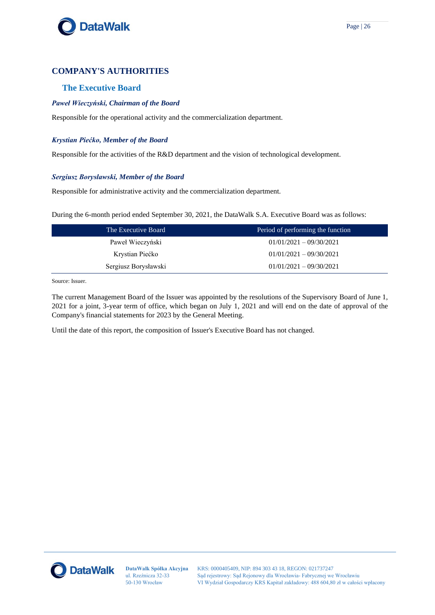

#### <span id="page-25-0"></span>**COMPANY'S AUTHORITIES**

#### <span id="page-25-1"></span>**The Executive Board**

#### *Paweł Wieczyński, Chairman of the Board*

Responsible for the operational activity and the commercialization department.

#### *Krystian Piećko, Member of the Board*

Responsible for the activities of the R&D department and the vision of technological development.

#### *Sergiusz Borysławski, Member of the Board*

Responsible for administrative activity and the commercialization department.

During the 6-month period ended September 30, 2021, the DataWalk S.A. Executive Board was as follows:

| The Executive Board  | Period of performing the function |
|----------------------|-----------------------------------|
| Paweł Wieczyński     | $01/01/2021 - 09/30/2021$         |
| Krystian Piećko      | $01/01/2021 - 09/30/2021$         |
| Sergiusz Borysławski | $01/01/2021 - 09/30/2021$         |

Source: Issuer.

The current Management Board of the Issuer was appointed by the resolutions of the Supervisory Board of June 1, 2021 for a joint, 3-year term of office, which began on July 1, 2021 and will end on the date of approval of the Company's financial statements for 2023 by the General Meeting.

Until the date of this report, the composition of Issuer's Executive Board has not changed.

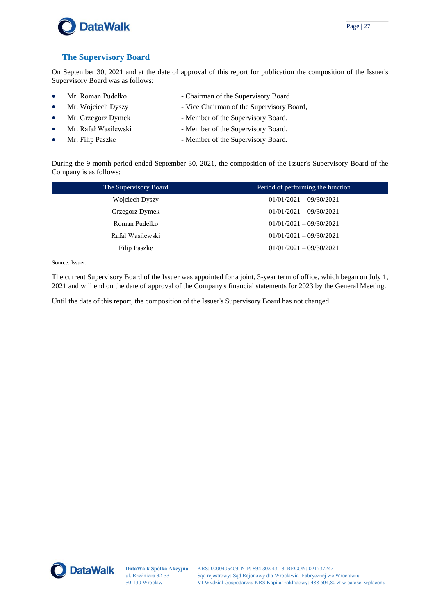

#### <span id="page-26-0"></span>**The Supervisory Board**

On September 30, 2021 and at the date of approval of this report for publication the composition of the Issuer's Supervisory Board was as follows:

- Mr. Roman Pudełko Chairman of the Supervisory Board
- Mr. Wojciech Dyszy Vice Chairman of the Supervisory Board,
- Mr. Grzegorz Dymek Member of the Supervisory Board,
- 
- Mr. Rafał Wasilewski Member of the Supervisory Board,
	- Mr. Filip Paszke Member of the Supervisory Board.

During the 9-month period ended September 30, 2021, the composition of the Issuer's Supervisory Board of the Company is as follows:

| The Supervisory Board | Period of performing the function |
|-----------------------|-----------------------------------|
| Wojciech Dyszy        | $01/01/2021 - 09/30/2021$         |
| Grzegorz Dymek        | $01/01/2021 - 09/30/2021$         |
| Roman Pudełko         | $01/01/2021 - 09/30/2021$         |
| Rafał Wasilewski      | $01/01/2021 - 09/30/2021$         |
| Filip Paszke          | $01/01/2021 - 09/30/2021$         |

Source: Issuer.

The current Supervisory Board of the Issuer was appointed for a joint, 3-year term of office, which began on July 1, 2021 and will end on the date of approval of the Company's financial statements for 2023 by the General Meeting.

Until the date of this report, the composition of the Issuer's Supervisory Board has not changed.

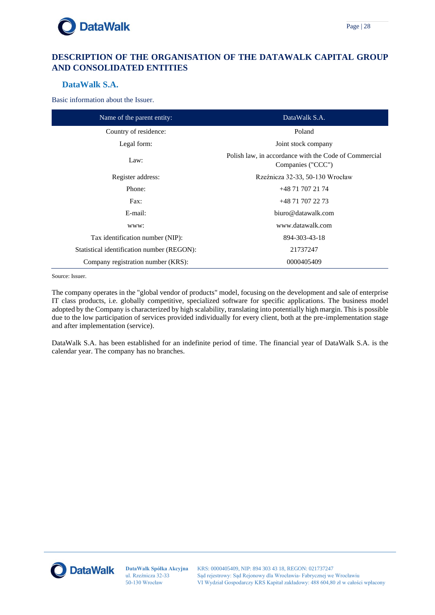

### <span id="page-27-0"></span>**DESCRIPTION OF THE ORGANISATION OF THE DATAWALK CAPITAL GROUP AND CONSOLIDATED ENTITIES**

#### <span id="page-27-1"></span>**DataWalk S.A.**

Basic information about the Issuer.

| Name of the parent entity:                 | DataWalk S.A.                                                              |  |
|--------------------------------------------|----------------------------------------------------------------------------|--|
| Country of residence:                      | Poland                                                                     |  |
| Legal form:                                | Joint stock company                                                        |  |
| Law:                                       | Polish law, in accordance with the Code of Commercial<br>Companies ("CCC") |  |
| Register address:                          | Rzeźnicza 32-33, 50-130 Wrocław                                            |  |
| Phone:                                     | +48 71 707 21 74                                                           |  |
| Fax:                                       | +48 71 707 22 73                                                           |  |
| E-mail:                                    | biuro@datawalk.com                                                         |  |
| www:                                       | www.datawalk.com                                                           |  |
| Tax identification number (NIP):           | 894-303-43-18                                                              |  |
| Statistical identification number (REGON): | 21737247                                                                   |  |
| Company registration number (KRS):         | 0000405409                                                                 |  |

Source: Issuer.

The company operates in the "global vendor of products" model, focusing on the development and sale of enterprise IT class products, i.e. globally competitive, specialized software for specific applications. The business model adopted by the Company is characterized by high scalability, translating into potentially high margin. This is possible due to the low participation of services provided individually for every client, both at the pre-implementation stage and after implementation (service).

DataWalk S.A. has been established for an indefinite period of time. The financial year of DataWalk S.A. is the calendar year. The company has no branches.

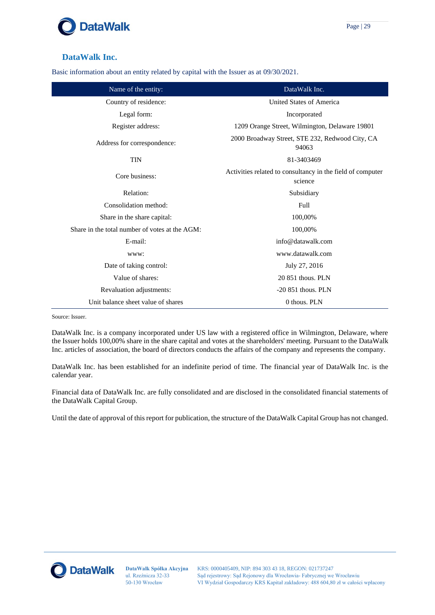

### <span id="page-28-0"></span>**DataWalk Inc.**

Basic information about an entity related by capital with the Issuer as at 09/30/2021.

| Name of the entity:                            | DataWalk Inc.                                                         |  |
|------------------------------------------------|-----------------------------------------------------------------------|--|
| Country of residence:                          | United States of America                                              |  |
| Legal form:                                    | Incorporated                                                          |  |
| Register address:                              | 1209 Orange Street, Wilmington, Delaware 19801                        |  |
| Address for correspondence:                    | 2000 Broadway Street, STE 232, Redwood City, CA<br>94063              |  |
| <b>TIN</b>                                     | 81-3403469                                                            |  |
| Core business:                                 | Activities related to consultancy in the field of computer<br>science |  |
| Relation:                                      | Subsidiary                                                            |  |
| Consolidation method:                          | Full                                                                  |  |
| Share in the share capital:                    | 100,00%                                                               |  |
| Share in the total number of votes at the AGM: | 100,00%                                                               |  |
| E-mail:                                        | info@datawalk.com                                                     |  |
| www:                                           | www.datawalk.com                                                      |  |
| Date of taking control:                        | July 27, 2016                                                         |  |
| Value of shares:                               | 20 851 thous. PLN                                                     |  |
| Revaluation adjustments:                       | $-20851$ thous. PLN                                                   |  |
| Unit balance sheet value of shares             | 0 thous. PLN                                                          |  |

Source: Issuer.

DataWalk Inc. is a company incorporated under US law with a registered office in Wilmington, Delaware, where the Issuer holds 100,00% share in the share capital and votes at the shareholders' meeting. Pursuant to the DataWalk Inc. articles of association, the board of directors conducts the affairs of the company and represents the company.

DataWalk Inc. has been established for an indefinite period of time. The financial year of DataWalk Inc. is the calendar year.

Financial data of DataWalk Inc. are fully consolidated and are disclosed in the consolidated financial statements of the DataWalk Capital Group.

Until the date of approval of this report for publication, the structure of the DataWalk Capital Group has not changed.

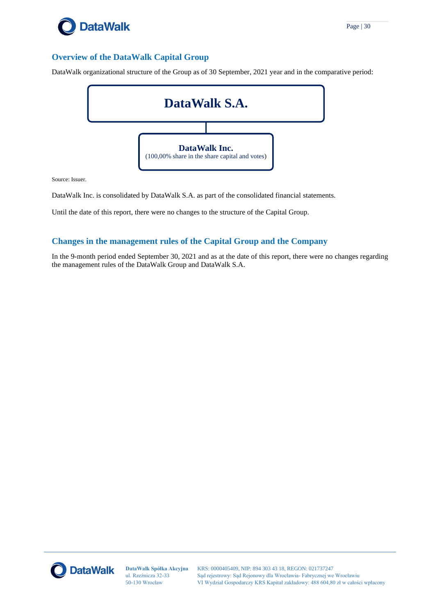

#### <span id="page-29-0"></span>**Overview of the DataWalk Capital Group**

DataWalk organizational structure of the Group as of 30 September, 2021 year and in the comparative period:



Source: Issuer.

DataWalk Inc. is consolidated by DataWalk S.A. as part of the consolidated financial statements.

Until the date of this report, there were no changes to the structure of the Capital Group.

#### <span id="page-29-1"></span>**Changes in the management rules of the Capital Group and the Company**

In the 9-month period ended September 30, 2021 and as at the date of this report, there were no changes regarding the management rules of the DataWalk Group and DataWalk S.A.

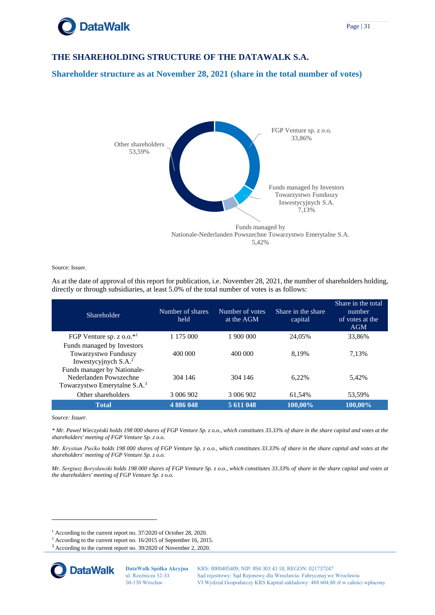

#### <span id="page-30-0"></span>**THE SHAREHOLDING STRUCTURE OF THE DATAWALK S.A.**

#### <span id="page-30-1"></span>**Shareholder structure as at November 28, 2021 (share in the total number of votes)**



Source: Issuer.

As at the date of approval of this report for publication, i.e. November 28, 2021, the number of shareholders holding, directly or through subsidiaries, at least 5.0% of the total number of votes is as follows:

| <b>Shareholder</b>                                                                                                    | Number of shares<br>held | Number of votes<br>at the AGM | Share in the share<br>capital | Share in the total<br>number<br>of votes at the<br><b>AGM</b> |
|-----------------------------------------------------------------------------------------------------------------------|--------------------------|-------------------------------|-------------------------------|---------------------------------------------------------------|
| FGP Venture sp. z $0.0.*1$                                                                                            | 1 175 000                | 1 900 000                     | 24.05%                        | 33.86%                                                        |
| Funds managed by Investors<br>Towarzystwo Funduszy<br>Inwestycyjnych S.A. <sup>2</sup><br>Funds manager by Nationale- | 400 000                  | 400 000                       | 8.19%                         | 7,13%                                                         |
| Nederlanden Powszechne<br>Towarzystwo Emerytalne S.A. <sup>3</sup>                                                    | 304 146                  | 304 146                       | 6.22%                         | 5,42%                                                         |
| Other shareholders                                                                                                    | 3 006 902                | 3 006 902                     | 61,54%                        | 53,59%                                                        |
| <b>Total</b>                                                                                                          | 4 8 8 6 0 4 8            | 5 611 048                     | 100,00%                       | 100,00%                                                       |

*Source: Issuer.*

*\* Mr. Paweł Wieczyński holds 198 000 shares of FGP Venture Sp. z o.o., which constitutes 33.33% of share in the share capital and votes at the shareholders' meeting of FGP Venture Sp. z o.o.*

*Mr. Krystian Piećko holds 198 000 shares of FGP Venture Sp. z o.o., which constitutes 33.33% of share in the share capital and votes at the shareholders' meeting of FGP Venture Sp. z o.o.*

*Mr. Sergiusz Borysławski holds 198 000 shares of FGP Venture Sp. z o.o., which constitutes 33.33% of share in the share capital and votes at the shareholders' meeting of FGP Venture Sp. z o.o.*

<sup>3</sup> According to the current report no. 39/2020 of November 2, 2020.



<sup>1</sup> According to the current report no. 37/2020 of October 28, 2020.

<sup>&</sup>lt;sup>2</sup> According to the current report no. 16/2015 of September 16, 2015.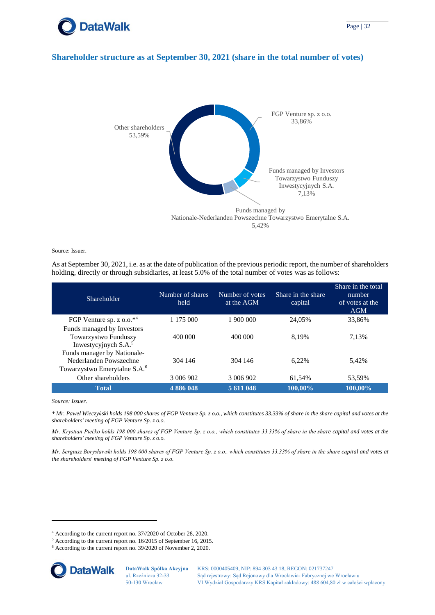

#### <span id="page-31-0"></span>**Shareholder structure as at September 30, 2021 (share in the total number of votes)**



Source: Issuer.

As at September 30, 2021, i.e. as at the date of publication of the previous periodic report, the number of shareholders holding, directly or through subsidiaries, at least 5.0% of the total number of votes was as follows:

| Shareholder                                                                                       | Number of shares<br>held | Number of votes<br>at the AGM | Share in the share<br>capital | Share in the total<br>number<br>of votes at the<br><b>AGM</b> |
|---------------------------------------------------------------------------------------------------|--------------------------|-------------------------------|-------------------------------|---------------------------------------------------------------|
| FGP Venture sp. z $0.0.^{*4}$                                                                     | 1 175 000                | 1 900 000                     | 24.05%                        | 33,86%                                                        |
| Funds managed by Investors<br>Towarzystwo Funduszy<br>Inwestycyjnych S.A. <sup>5</sup>            | 400 000                  | 400 000                       | 8.19%                         | 7,13%                                                         |
| Funds manager by Nationale-<br>Nederlanden Powszechne<br>Towarzystwo Emerytalne S.A. <sup>6</sup> | 304 146                  | 304 146                       | 6.22%                         | 5,42%                                                         |
| Other shareholders                                                                                | 3 006 902                | 3 006 902                     | 61.54%                        | 53.59%                                                        |
| <b>Total</b>                                                                                      | 4 886 048                | 5 611 048                     | 100.00%                       | 100.00%                                                       |

*Source: Issuer.*

*\* Mr. Paweł Wieczyński holds 198 000 shares of FGP Venture Sp. z o.o., which constitutes 33.33% of share in the share capital and votes at the shareholders' meeting of FGP Venture Sp. z o.o.*

*Mr. Krystian Piećko holds 198 000 shares of FGP Venture Sp. z o.o., which constitutes 33.33% of share in the share capital and votes at the shareholders' meeting of FGP Venture Sp. z o.o.*

*Mr. Sergiusz Borysławski holds 198 000 shares of FGP Venture Sp. z o.o., which constitutes 33.33% of share in the share capital and votes at the shareholders' meeting of FGP Venture Sp. z o.o.*

<sup>6</sup> According to the current report no. 39/2020 of November 2, 2020.



<sup>4</sup> According to the current report no. 37//2020 of October 28, 2020.

<sup>5</sup> According to the current report no. 16/2015 of September 16, 2015.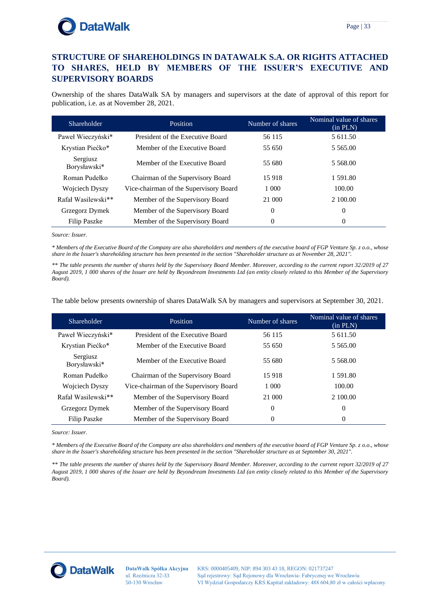# **DataWalk**

## <span id="page-32-0"></span>**STRUCTURE OF SHAREHOLDINGS IN DATAWALK S.A. OR RIGHTS ATTACHED TO SHARES, HELD BY MEMBERS OF THE ISSUER'S EXECUTIVE AND SUPERVISORY BOARDS**

Ownership of the shares DataWalk SA by managers and supervisors at the date of approval of this report for publication, i.e. as at November 28, 2021.

| <b>Shareholder</b>       | <b>Position</b>                        | Number of shares | Nominal value of shares<br>(in PLN) |
|--------------------------|----------------------------------------|------------------|-------------------------------------|
| Paweł Wieczyński*        | President of the Executive Board       | 56 115           | 5 611.50                            |
| Krystian Piećko*         | Member of the Executive Board          | 55 650           | 5 565.00                            |
| Sergiusz<br>Borysławski* | Member of the Executive Board          | 55 680           | 5 568.00                            |
| Roman Pudełko            | Chairman of the Supervisory Board      | 15918            | 1 591.80                            |
| Wojciech Dyszy           | Vice-chairman of the Supervisory Board | 1 000            | 100.00                              |
| Rafał Wasilewski**       | Member of the Supervisory Board        | 21 000           | 2 100.00                            |
| Grzegorz Dymek           | Member of the Supervisory Board        | $\overline{0}$   | 0                                   |
| <b>Filip Paszke</b>      | Member of the Supervisory Board        | $\overline{0}$   | 0                                   |

*Source: Issuer.*

*\* Members of the Executive Board of the Company are also shareholders and members of the executive board of FGP Venture Sp. z o.o., whose share in the Issuer's shareholding structure has been presented in the section "Shareholder structure as at November 28, 2021".*

*\*\* The table presents the number of shares held by the Supervisory Board Member. Moreover, according to the current report 32/2019 of 27*  August 2019, 1 000 shares of the Issuer are held by Beyondream Investments Ltd (an entity closely related to this Member of the Supervisory *Board).*

The table below presents ownership of shares DataWalk SA by managers and supervisors at September 30, 2021.

| Shareholder              | <b>Position</b>                        | Number of shares | Nominal value of shares<br>(in PLN) |
|--------------------------|----------------------------------------|------------------|-------------------------------------|
| Paweł Wieczyński*        | President of the Executive Board       | 56 115           | 5 611.50                            |
| Krystian Piećko*         | Member of the Executive Board          | 55 650           | 5 5 6 5 .00                         |
| Sergiusz<br>Borysławski* | Member of the Executive Board          | 55 680           | 5 568.00                            |
| Roman Pudełko            | Chairman of the Supervisory Board      | 15918            | 1 591.80                            |
| Wojciech Dyszy           | Vice-chairman of the Supervisory Board | 1 000            | 100.00                              |
| Rafał Wasilewski**       | Member of the Supervisory Board        | 21 000           | 2 100.00                            |
| Grzegorz Dymek           | Member of the Supervisory Board        | $\theta$         | $\theta$                            |
| <b>Filip Paszke</b>      | Member of the Supervisory Board        | $\Omega$         | $\Omega$                            |

*Source: Issuer.*

*\* Members of the Executive Board of the Company are also shareholders and members of the executive board of FGP Venture Sp. z o.o., whose share in the Issuer's shareholding structure has been presented in the section "Shareholder structure as at September 30, 2021".*

*\*\* The table presents the number of shares held by the Supervisory Board Member. Moreover, according to the current report 32/2019 of 27 August 2019, 1 000 shares of the Issuer are held by Beyondream Investments Ltd (an entity closely related to this Member of the Supervisory Board).*



**DataWalk Spółka Akcyjna** ul. Rzeźnicza 32-33 50-130 Wrocław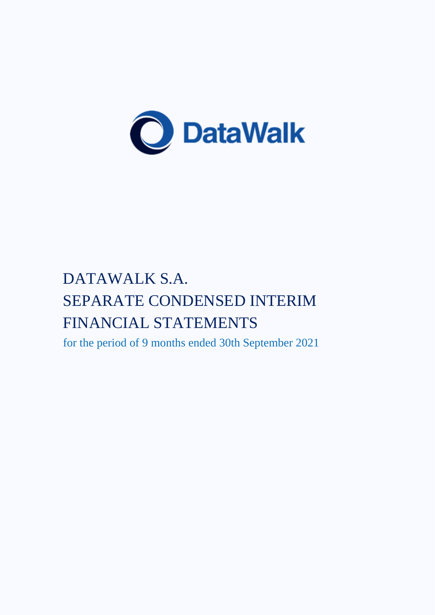

# DATAWALK S.A. SEPARATE CONDENSED INTERIM FINANCIAL STATEMENTS

for the period of 9 months ended 30th September 2021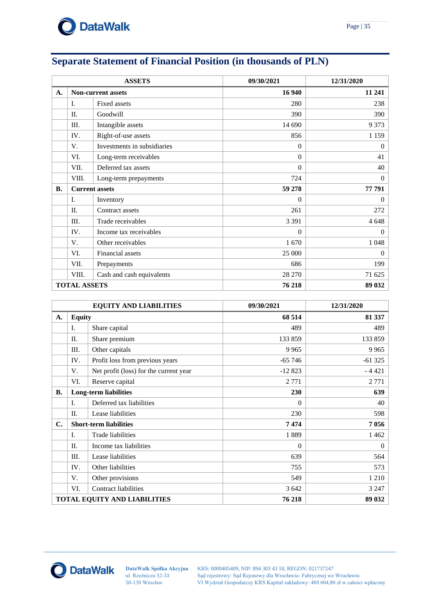

| <b>ASSETS</b> |                       |                             | 09/30/2021 | 12/31/2020     |
|---------------|-----------------------|-----------------------------|------------|----------------|
| A.            | Non-current assets    |                             | 16 940     | 11 241         |
|               | I.                    | Fixed assets                | 280        | 238            |
|               | II.                   | Goodwill                    | 390        | 390            |
|               | Ш.                    | Intangible assets           | 14 690     | 9 3 7 3        |
|               | IV.                   | Right-of-use assets         | 856        | 1 1 5 9        |
|               | V.                    | Investments in subsidiaries | $\theta$   | $\overline{0}$ |
|               | VI.                   | Long-term receivables       | $\Omega$   | 41             |
|               | VII.                  | Deferred tax assets         | $\Omega$   | 40             |
|               | VIII.                 | Long-term prepayments       | 724        | $\overline{0}$ |
| <b>B.</b>     | <b>Current assets</b> |                             | 59 278     | 77 791         |
|               | I.                    | Inventory                   | $\Omega$   | $\overline{0}$ |
|               | II.                   | Contract assets             | 261        | 272            |
|               | III.                  | Trade receivables           | 3 3 9 1    | 4 6 4 8        |
|               | IV.                   | Income tax receivables      | $\theta$   | $\Omega$       |
|               | V.                    | Other receivables           | 1670       | 1 0 4 8        |
|               | VI.                   | Financial assets            | 25 000     | $\theta$       |
|               | VII.                  | Prepayments                 | 686        | 199            |
|               | VIII.                 | Cash and cash equivalents   | 28 270     | 71 625         |
|               | <b>TOTAL ASSETS</b>   |                             | 76 218     | 89 032         |

# <span id="page-34-1"></span><span id="page-34-0"></span>**Separate Statement of Financial Position (in thousands of PLN)**

|           |                | <b>EQUITY AND LIABILITIES</b>          | 09/30/2021 | 12/31/2020     |
|-----------|----------------|----------------------------------------|------------|----------------|
| A.        | <b>Equity</b>  |                                        | 68 514     | 81 337         |
|           | I.             | Share capital                          | 489        | 489            |
|           | II.            | Share premium                          | 133 859    | 133 859        |
|           | III.           | Other capitals                         | 9 9 6 5    | 9 9 6 5        |
|           | IV.            | Profit loss from previous years        | $-65746$   | $-61325$       |
|           | V.             | Net profit (loss) for the current year | $-12823$   | $-4421$        |
|           | VI.            | Reserve capital                        | 2 7 7 1    | 2 7 7 1        |
| <b>B.</b> |                | <b>Long-term liabilities</b>           | 230        | 639            |
|           | L.             | Deferred tax liabilities               | $\Omega$   | 40             |
|           | $\Pi$ .        | Lease liabilities                      | 230        | 598            |
| C.        |                | <b>Short-term liabilities</b>          | 7474       | 7 0 5 6        |
|           | $\mathbf{I}$ . | Trade liabilities                      | 1889       | 1 4 6 2        |
|           | II.            | Income tax liabilities                 | $\Omega$   | $\overline{0}$ |
|           | Ш.             | Lease liabilities                      | 639        | 564            |
|           | IV.            | Other liabilities                      | 755        | 573            |
|           | V.             | Other provisions                       | 549        | 1 2 1 0        |
|           | VI.            | Contract liabilities                   | 3 642      | 3 2 4 7        |
|           |                | <b>TOTAL EQUITY AND LIABILITIES</b>    | 76 218     | 89 032         |

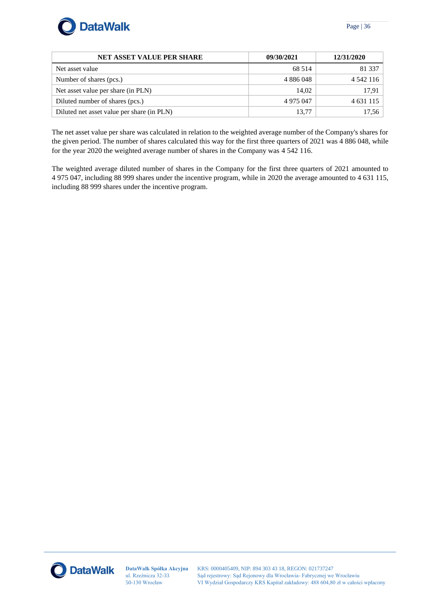

| <b>NET ASSET VALUE PER SHARE</b>           | 09/30/2021 | 12/31/2020    |
|--------------------------------------------|------------|---------------|
| Net asset value                            | 68 514     | 81 337        |
| Number of shares (pcs.)                    | 4 886 048  | 4 5 4 2 1 1 6 |
| Net asset value per share (in PLN)         | 14.02      | 17,91         |
| Diluted number of shares (pcs.)            | 4 975 047  | 4 631 115     |
| Diluted net asset value per share (in PLN) | 13,77      | 17,56         |

The net asset value per share was calculated in relation to the weighted average number of the Company's shares for the given period. The number of shares calculated this way for the first three quarters of 2021 was 4 886 048, while for the year 2020 the weighted average number of shares in the Company was 4 542 116.

The weighted average diluted number of shares in the Company for the first three quarters of 2021 amounted to 4 975 047, including 88 999 shares under the incentive program, while in 2020 the average amounted to 4 631 115, including 88 999 shares under the incentive program.

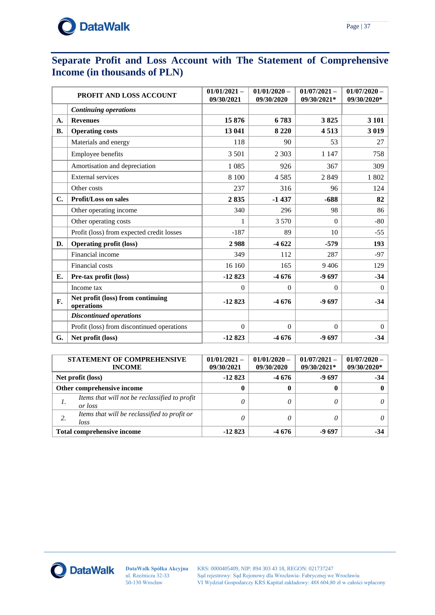



## <span id="page-36-0"></span>**Separate Profit and Loss Account with The Statement of Comprehensive Income (in thousands of PLN)**

|           | <b>PROFIT AND LOSS ACCOUNT</b>                  | $01/01/2021 -$<br>09/30/2021 | $01/01/2020 -$<br>09/30/2020 | $01/07/2021 -$<br>09/30/2021* | $01/07/2020 -$<br>09/30/2020* |
|-----------|-------------------------------------------------|------------------------------|------------------------------|-------------------------------|-------------------------------|
|           | <b>Continuing operations</b>                    |                              |                              |                               |                               |
| A.        | <b>Revenues</b>                                 | 15876                        | 6783                         | 3825                          | 3 10 1                        |
| <b>B.</b> | <b>Operating costs</b>                          | 13 041                       | 8 2 2 0                      | 4513                          | 3 0 19                        |
|           | Materials and energy                            | 118                          | 90                           | 53                            | 27                            |
|           | Employee benefits                               | 3 5 0 1                      | 2 3 0 3                      | 1 1 4 7                       | 758                           |
|           | Amortisation and depreciation                   | 1 0 8 5                      | 926                          | 367                           | 309                           |
|           | <b>External services</b>                        | 8 1 0 0                      | 4585                         | 2849                          | 1802                          |
|           | Other costs                                     | 237                          | 316                          | 96                            | 124                           |
| C.        | <b>Profit/Loss on sales</b>                     | 2835                         | $-1437$                      | $-688$                        | 82                            |
|           | Other operating income                          | 340                          | 296                          | 98                            | 86                            |
|           | Other operating costs                           | 1                            | 3 5 7 0                      | $\Omega$                      | $-80$                         |
|           | Profit (loss) from expected credit losses       | $-187$                       | 89                           | 10                            | $-55$                         |
| D.        | <b>Operating profit (loss)</b>                  | 2988                         | $-4622$                      | $-579$                        | 193                           |
|           | Financial income                                | 349                          | 112                          | 287                           | $-97$                         |
|           | Financial costs                                 | 16 160                       | 165                          | 9406                          | 129                           |
| Е.        | Pre-tax profit (loss)                           | $-12823$                     | $-4676$                      | $-9697$                       | $-34$                         |
|           | Income tax                                      | $\mathbf{0}$                 | $\mathbf{0}$                 | $\mathbf{0}$                  | $\theta$                      |
| F.        | Net profit (loss) from continuing<br>operations | $-12823$                     | $-4676$                      | $-9697$                       | $-34$                         |
|           | <b>Discontinued operations</b>                  |                              |                              |                               |                               |
|           | Profit (loss) from discontinued operations      | $\mathbf{0}$                 | $\Omega$                     | $\Omega$                      | $\theta$                      |
| G.        | Net profit (loss)                               | $-12823$                     | $-4676$                      | $-9697$                       | $-34$                         |

|    | <b>STATEMENT OF COMPREHENSIVE</b><br><b>INCOME</b>       | $01/01/2021 -$<br>09/30/2021 | $01/01/2020 -$<br>09/30/2020 | $01/07/2021 -$<br>09/30/2021* | $01/07/2020 -$<br>09/30/2020* |
|----|----------------------------------------------------------|------------------------------|------------------------------|-------------------------------|-------------------------------|
|    | Net profit (loss)                                        | $-12823$                     | $-4676$                      | $-9697$                       | -34                           |
|    | Other comprehensive income                               | 0                            | -0                           |                               |                               |
| 1. | Items that will not be reclassified to profit<br>or loss | 0                            |                              |                               |                               |
| 2. | Items that will be reclassified to profit or<br>loss     | 0                            |                              |                               |                               |
|    | Total comprehensive income                               | $-12823$                     | -4 676                       | -9697                         | -34                           |

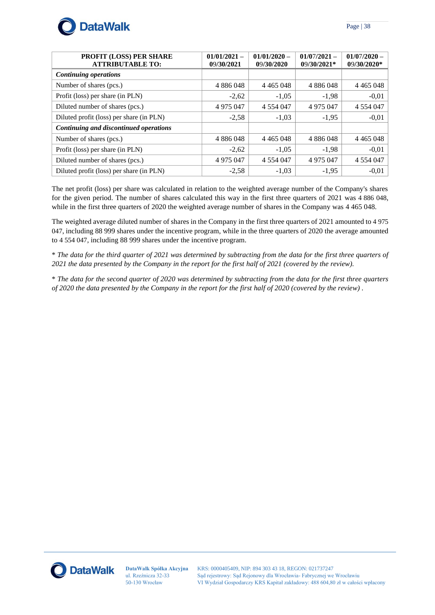

| <b>PROFIT (LOSS) PER SHARE</b><br><b>ATTRIBUTABLE TO:</b> | $01/01/2021 -$<br>09/30/2021 | $01/01/2020 -$<br>09/30/2020 | $01/07/2021 -$<br>09/30/2021* | $01/07/2020 -$<br>09/30/2020* |
|-----------------------------------------------------------|------------------------------|------------------------------|-------------------------------|-------------------------------|
| <b>Continuing operations</b>                              |                              |                              |                               |                               |
| Number of shares (pcs.)                                   | 4 8 8 6 0 4 8                | 4 4 6 5 0 4 8                | 4 8 8 6 0 4 8                 | 4 4 6 5 0 4 8                 |
| Profit (loss) per share (in PLN)                          | $-2,62$                      | $-1,05$                      | $-1,98$                       | $-0,01$                       |
| Diluted number of shares (pcs.)                           | 4 975 047                    | 4 5 5 4 0 4 7                | 4 975 047                     | 4 5 5 4 0 4 7                 |
| Diluted profit (loss) per share (in PLN)                  | $-2,58$                      | $-1,03$                      | $-1,95$                       | $-0,01$                       |
| Continuing and discontinued operations                    |                              |                              |                               |                               |
| Number of shares (pcs.)                                   | 4 8 8 6 0 4 8                | 4 4 6 5 0 4 8                | 4 8 8 6 0 4 8                 | 4 4 6 5 0 4 8                 |
| Profit (loss) per share (in PLN)                          | $-2,62$                      | $-1,05$                      | $-1,98$                       | $-0.01$                       |
| Diluted number of shares (pcs.)                           | 4 975 047                    | 4 5 5 4 0 4 7                | 4 975 047                     | 4 5 5 4 0 4 7                 |
| Diluted profit (loss) per share (in PLN)                  | $-2,58$                      | $-1,03$                      | $-1,95$                       | $-0,01$                       |

The net profit (loss) per share was calculated in relation to the weighted average number of the Company's shares for the given period. The number of shares calculated this way in the first three quarters of 2021 was 4 886 048, while in the first three quarters of 2020 the weighted average number of shares in the Company was 4 465 048.

The weighted average diluted number of shares in the Company in the first three quarters of 2021 amounted to 4 975 047, including 88 999 shares under the incentive program, while in the three quarters of 2020 the average amounted to 4 554 047, including 88 999 shares under the incentive program.

\* *The data for the third quarter of 2021 was determined by subtracting from the data for the first three quarters of 2021 the data presented by the Company in the report for the first half of 2021 (covered by the review).*

\* *The data for the second quarter of 2020 was determined by subtracting from the data for the first three quarters of 2020 the data presented by the Company in the report for the first half of 2020 (covered by the review) .*

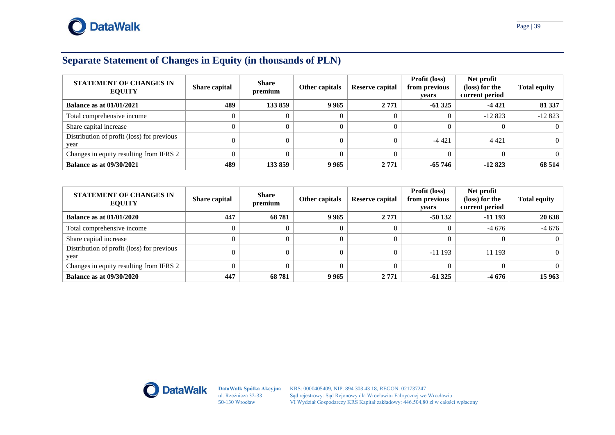

# **Separate Statement of Changes in Equity (in thousands of PLN)**

| <b>STATEMENT OF CHANGES IN</b><br><b>EQUITY</b>    | <b>Share capital</b> | <b>Share</b><br>premium | Other capitals | Reserve capital | <b>Profit (loss)</b><br>from previous<br>vears | Net profit<br>(loss) for the<br>current period | <b>Total equity</b> |
|----------------------------------------------------|----------------------|-------------------------|----------------|-----------------|------------------------------------------------|------------------------------------------------|---------------------|
| <b>Balance as at 01/01/2021</b>                    | 489                  | 133 859                 | 9965           | 2 7 7 1         | $-61325$                                       | -4 421                                         | 81 337              |
| Total comprehensive income                         |                      |                         |                |                 |                                                | $-12823$                                       | $-12823$            |
| Share capital increase                             |                      |                         |                |                 |                                                |                                                |                     |
| Distribution of profit (loss) for previous<br>year |                      |                         |                |                 | $-4421$                                        | 4421                                           | $\Omega$            |
| Changes in equity resulting from IFRS 2            |                      |                         |                |                 |                                                |                                                |                     |
| <b>Balance as at 09/30/2021</b>                    | 489                  | 133 859                 | 9965           | 2 7 7 1         | -65 746                                        | $-12823$                                       | 68 514              |

<span id="page-38-0"></span>

| <b>STATEMENT OF CHANGES IN</b><br><b>EQUITY</b>    | <b>Share capital</b> | <b>Share</b><br>premium | Other capitals | Reserve capital | <b>Profit (loss)</b><br>from previous<br>vears | Net profit<br>(loss) for the<br>current period | <b>Total equity</b> |
|----------------------------------------------------|----------------------|-------------------------|----------------|-----------------|------------------------------------------------|------------------------------------------------|---------------------|
| <b>Balance as at 01/01/2020</b>                    | 447                  | 68781                   | 9965           | 2 7 7 1         | $-50132$                                       | $-11193$                                       | 20 638              |
| Total comprehensive income                         |                      |                         |                |                 |                                                | $-4676$                                        | $-4676$             |
| Share capital increase                             |                      |                         |                |                 |                                                |                                                |                     |
| Distribution of profit (loss) for previous<br>year |                      |                         |                |                 | $-11193$                                       | 11 193                                         |                     |
| Changes in equity resulting from IFRS 2            |                      |                         |                |                 |                                                | $\Omega$                                       |                     |
| <b>Balance as at 09/30/2020</b>                    | 447                  | 68781                   | 9965           | 2 7 7 1         | $-61.325$                                      | $-4676$                                        | 15 963              |



ul. Rzeźnicza 32-33 50-130 Wrocław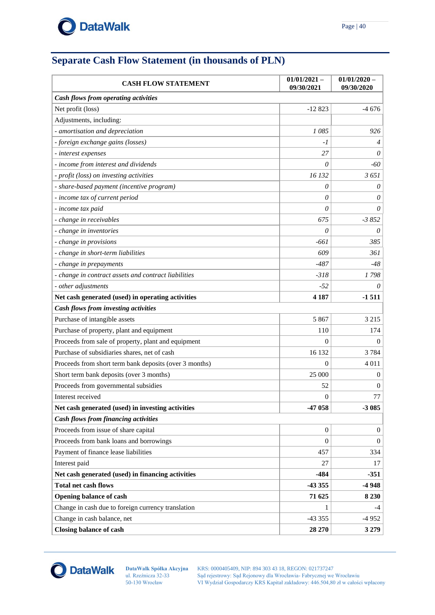

# <span id="page-39-0"></span>**Separate Cash Flow Statement (in thousands of PLN)**

| <b>CASH FLOW STATEMENT</b>                             | $01/01/2021 -$<br>09/30/2021 | $01/01/2020 -$<br>09/30/2020 |
|--------------------------------------------------------|------------------------------|------------------------------|
| <b>Cash flows from operating activities</b>            |                              |                              |
| Net profit (loss)                                      | $-12823$                     | $-4676$                      |
| Adjustments, including:                                |                              |                              |
| - amortisation and depreciation                        | 1085                         | 926                          |
| - foreign exchange gains (losses)                      | $-l$                         | 4                            |
| - interest expenses                                    | 27                           | 0                            |
| - income from interest and dividends                   | 0                            | $-60$                        |
| - profit (loss) on investing activities                | 16 132                       | 3651                         |
| - share-based payment (incentive program)              | $\theta$                     | 0                            |
| - income tax of current period                         | 0                            | 0                            |
| - income tax paid                                      | 0                            | 0                            |
| - change in receivables                                | 675                          | $-3852$                      |
| - change in inventories                                | 0                            | 0                            |
| - change in provisions                                 | $-661$                       | 385                          |
| - change in short-term liabilities                     | 609                          | 361                          |
| - change in prepayments                                | $-487$                       | $-48$                        |
| - change in contract assets and contract liabilities   | $-318$                       | 1798                         |
| - other adjustments                                    | $-52$                        | 0                            |
| Net cash generated (used) in operating activities      | 4 1 8 7                      | $-1511$                      |
| Cash flows from investing activities                   |                              |                              |
| Purchase of intangible assets                          | 5 8 6 7                      | 3 2 1 5                      |
| Purchase of property, plant and equipment              | 110                          | 174                          |
| Proceeds from sale of property, plant and equipment    | $\Omega$                     | $\Omega$                     |
| Purchase of subsidiaries shares, net of cash           | 16 132                       | 3784                         |
| Proceeds from short term bank deposits (over 3 months) | $\overline{0}$               | 4 0 1 1                      |
| Short term bank deposits (over 3 months)               | 25 000                       | $\overline{0}$               |
| Proceeds from governmental subsidies                   | 52                           | $\mathbf{0}$                 |
| Interest received                                      | $\mathbf{0}$                 | 77                           |
| Net cash generated (used) in investing activities      | $-47058$                     | $-3085$                      |
| <b>Cash flows from financing activities</b>            |                              |                              |
| Proceeds from issue of share capital                   | $\boldsymbol{0}$             | $\mathbf{0}$                 |
| Proceeds from bank loans and borrowings                | $\theta$                     | 0                            |
| Payment of finance lease liabilities                   | 457                          | 334                          |
| Interest paid                                          | 27                           | 17                           |
| Net cash generated (used) in financing activities      | $-484$                       | $-351$                       |
| <b>Total net cash flows</b>                            | $-43355$                     | -4 948                       |
| <b>Opening balance of cash</b>                         | 71 625                       | 8 2 3 0                      |
| Change in cash due to foreign currency translation     | 1                            | -4                           |
| Change in cash balance, net                            | $-43355$                     | -4 952                       |
| <b>Closing balance of cash</b>                         | 28 270                       | 3 2 7 9                      |



**DataWalk Spółka Akcyjna** ul. Rzeźnicza 32-33 50-130 Wrocław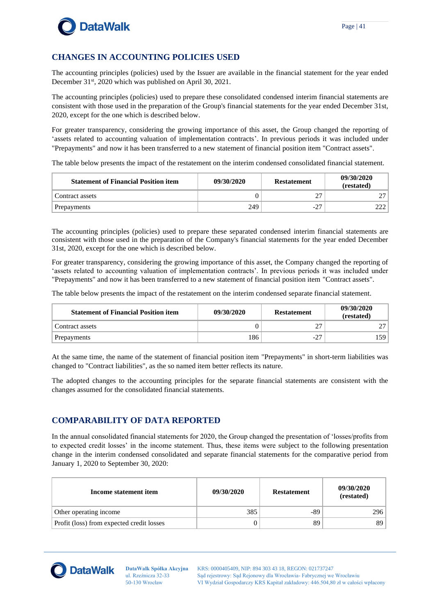

## <span id="page-40-0"></span>**CHANGES IN ACCOUNTING POLICIES USED**

The accounting principles (policies) used by the Issuer are available in the financial statement for the year ended December 31<sup>st</sup>, 2020 which was published on April 30, 2021.

The accounting principles (policies) used to prepare these consolidated condensed interim financial statements are consistent with those used in the preparation of the Group's financial statements for the year ended December 31st, 2020, except for the one which is described below.

For greater transparency, considering the growing importance of this asset, the Group changed the reporting of 'assets related to accounting valuation of implementation contracts'. In previous periods it was included under "Prepayments" and now it has been transferred to a new statement of financial position item "Contract assets".

The table below presents the impact of the restatement on the interim condensed consolidated financial statement.

| <b>Statement of Financial Position item</b> | 09/30/2020 | <b>Restatement</b> | 09/30/2020<br>(restated) |
|---------------------------------------------|------------|--------------------|--------------------------|
| Contract assets                             |            |                    |                          |
| Prepayments                                 | 249        | $-27$              | ∩∩ר                      |

The accounting principles (policies) used to prepare these separated condensed interim financial statements are consistent with those used in the preparation of the Company's financial statements for the year ended December 31st, 2020, except for the one which is described below.

For greater transparency, considering the growing importance of this asset, the Company changed the reporting of 'assets related to accounting valuation of implementation contracts'. In previous periods it was included under "Prepayments" and now it has been transferred to a new statement of financial position item "Contract assets".

The table below presents the impact of the restatement on the interim condensed separate financial statement.

| <b>Statement of Financial Position item</b> | 09/30/2020 | <b>Restatement</b> | 09/30/2020<br>(restated) |
|---------------------------------------------|------------|--------------------|--------------------------|
| Contract assets                             |            |                    |                          |
| Prepayments                                 | 186        | $-27$              | .59                      |

At the same time, the name of the statement of financial position item "Prepayments" in short-term liabilities was changed to "Contract liabilities", as the so named item better reflects its nature.

The adopted changes to the accounting principles for the separate financial statements are consistent with the changes assumed for the consolidated financial statements.

#### <span id="page-40-1"></span>**COMPARABILITY OF DATA REPORTED**

In the annual consolidated financial statements for 2020, the Group changed the presentation of 'losses/profits from to expected credit losses' in the income statement. Thus, these items were subject to the following presentation change in the interim condensed consolidated and separate financial statements for the comparative period from January 1, 2020 to September 30, 2020:

| Income statement item                     | 09/30/2020 | <b>Restatement</b> | 09/30/2020<br>(restated) |
|-------------------------------------------|------------|--------------------|--------------------------|
| Other operating income                    | 385        | -89                | 296                      |
| Profit (loss) from expected credit losses |            | 89                 | 89                       |



**DataWalk Spółka Akcyjna** ul. Rzeźnicza 32-33 50-130 Wrocław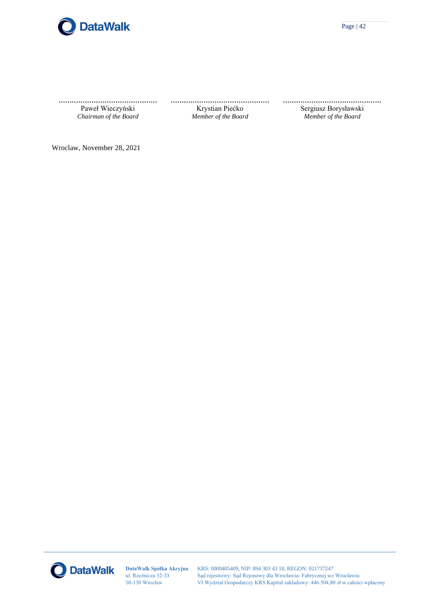

**……………………………………… ……………………………………… ………………………………………** *Chairman of the Board Member of the Board Member of the Board*

Paweł Wieczyński Krystian Piećko Sergiusz Borysławski

Wroclaw, November 28, 2021



**DataWalk Spółka Akcyjna** ul. Rzeźnicza 32-33 50-130 Wrocław